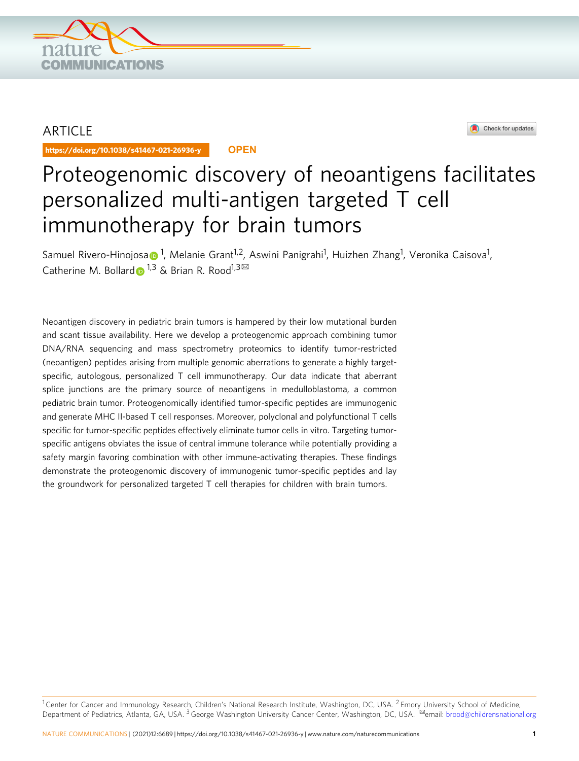

## ARTICLE

https://doi.org/10.1038/s41467-021-26936-y **OPEN**



# Proteogenomic discovery of neoantigens facilitates personalized multi-antigen targeted T cell immunotherapy for brain tumors

S[a](http://orcid.org/0000-0002-3595-8273)muel Rivero-Hinojosa $\bullet$ <sup>1</sup>, Melanie Grant<sup>1,2</sup>, Aswini Panigrahi<sup>1</sup>, Huizhen Zhang<sup>1</sup>, Veronika Caisova<sup>1</sup>, Catherine M. Bollar[d](http://orcid.org/0000-0001-5140-9090)  $\bullet$  <sup>1,3</sup> & Brian R. Rood<sup>1,3 $\boxtimes$ </sup>

Neoantigen discovery in pediatric brain tumors is hampered by their low mutational burden and scant tissue availability. Here we develop a proteogenomic approach combining tumor DNA/RNA sequencing and mass spectrometry proteomics to identify tumor-restricted (neoantigen) peptides arising from multiple genomic aberrations to generate a highly targetspecific, autologous, personalized T cell immunotherapy. Our data indicate that aberrant splice junctions are the primary source of neoantigens in medulloblastoma, a common pediatric brain tumor. Proteogenomically identified tumor-specific peptides are immunogenic and generate MHC II-based T cell responses. Moreover, polyclonal and polyfunctional T cells specific for tumor-specific peptides effectively eliminate tumor cells in vitro. Targeting tumorspecific antigens obviates the issue of central immune tolerance while potentially providing a safety margin favoring combination with other immune-activating therapies. These findings demonstrate the proteogenomic discovery of immunogenic tumor-specific peptides and lay the groundwork for personalized targeted T cell therapies for children with brain tumors.

<sup>1</sup> Center for Cancer and Immunology Research, Children's National Research Institute, Washington, DC, USA. <sup>2</sup> Emory University School of Medicine, Department of Pediatrics, Atlanta, GA, USA. <sup>3</sup> George Washington University Cancer Center, Washington, DC, USA. <sup>⊠</sup>email: [brood@childrensnational.org](mailto:brood@childrensnational.org)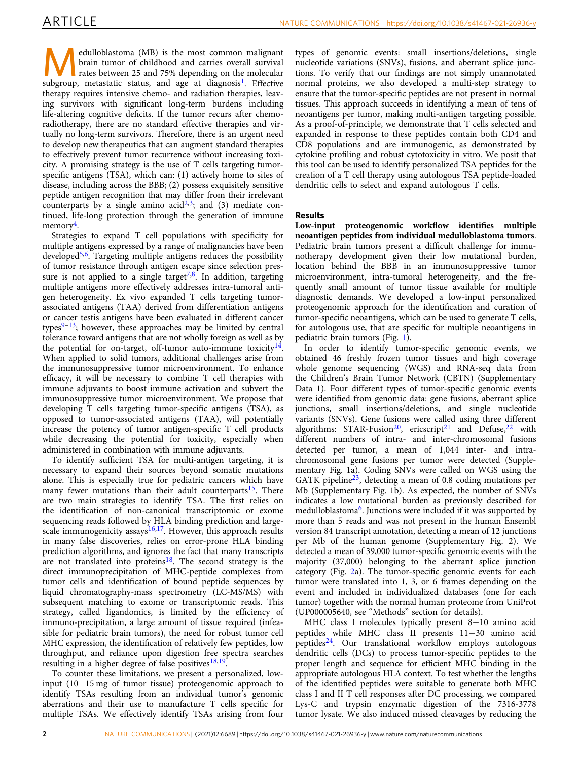**Medulloblastoma** (MB) is the most common malignant brain tumor of childhood and carries overall survival rates between 25 and 75% depending on the molecular survival brain tumor of childhood and carries overall survival subgroup, metastatic status, and age at diagnosis<sup>[1](#page-13-0)</sup>. Effective therapy requires intensive chemo- and radiation therapies, leaving survivors with significant long-term burdens including life-altering cognitive deficits. If the tumor recurs after chemoradiotherapy, there are no standard effective therapies and virtually no long-term survivors. Therefore, there is an urgent need to develop new therapeutics that can augment standard therapies to effectively prevent tumor recurrence without increasing toxicity. A promising strategy is the use of T cells targeting tumorspecific antigens (TSA), which can: (1) actively home to sites of disease, including across the BBB; (2) possess exquisitely sensitive peptide antigen recognition that may differ from their irrelevant counterparts by a single amino  $acid^{2,3}$  $acid^{2,3}$  $acid^{2,3}$  $acid^{2,3}$  $acid^{2,3}$ ; and (3) mediate continued, life-long protection through the generation of immune memory<sup>4</sup>.

Strategies to expand T cell populations with specificity for multiple antigens expressed by a range of malignancies have been developed $5.6$  $5.6$ . Targeting multiple antigens reduces the possibility of tumor resistance through antigen escape since selection pressure is not applied to a single target<sup>7,8</sup>. In addition, targeting multiple antigens more effectively addresses intra-tumoral antigen heterogeneity. Ex vivo expanded T cells targeting tumorassociated antigens (TAA) derived from differentiation antigens or cancer testis antigens have been evaluated in different cancer types $9-13$  $9-13$ ; however, these approaches may be limited by central tolerance toward antigens that are not wholly foreign as well as by the potential for on-target, off-tumor auto-immune toxicity $14$ . When applied to solid tumors, additional challenges arise from the immunosuppressive tumor microenvironment. To enhance efficacy, it will be necessary to combine T cell therapies with immune adjuvants to boost immune activation and subvert the immunosuppressive tumor microenvironment. We propose that developing T cells targeting tumor-specific antigens (TSA), as opposed to tumor-associated antigens (TAA), will potentially increase the potency of tumor antigen-specific T cell products while decreasing the potential for toxicity, especially when administered in combination with immune adjuvants.

To identify sufficient TSA for multi-antigen targeting, it is necessary to expand their sources beyond somatic mutations alone. This is especially true for pediatric cancers which have many fewer mutations than their adult counterparts<sup>[15](#page-13-0)</sup>. There are two main strategies to identify TSA. The first relies on the identification of non-canonical transcriptomic or exome sequencing reads followed by HLA binding prediction and large-scale immunogenicity assays<sup>[16,17](#page-13-0)</sup>. However, this approach results in many false discoveries, relies on error-prone HLA binding prediction algorithms, and ignores the fact that many transcripts are not translated into proteins<sup>18</sup>. The second strategy is the direct immunoprecipitation of MHC-peptide complexes from tumor cells and identification of bound peptide sequences by liquid chromatography-mass spectrometry (LC-MS/MS) with subsequent matching to exome or transcriptomic reads. This strategy, called ligandomics, is limited by the efficiency of immuno-precipitation, a large amount of tissue required (infeasible for pediatric brain tumors), the need for robust tumor cell MHC expression, the identification of relatively few peptides, low throughput, and reliance upon digestion free spectra searches resulting in a higher degree of false positives $18,19$  $18,19$  $18,19$ .

To counter these limitations, we present a personalized, lowinput (10−15 mg of tumor tissue) proteogenomic approach to identify TSAs resulting from an individual tumor's genomic aberrations and their use to manufacture T cells specific for multiple TSAs. We effectively identify TSAs arising from four types of genomic events: small insertions/deletions, single nucleotide variations (SNVs), fusions, and aberrant splice junctions. To verify that our findings are not simply unannotated normal proteins, we also developed a multi-step strategy to ensure that the tumor-specific peptides are not present in normal tissues. This approach succeeds in identifying a mean of tens of neoantigens per tumor, making multi-antigen targeting possible. As a proof-of-principle, we demonstrate that T cells selected and expanded in response to these peptides contain both CD4 and CD8 populations and are immunogenic, as demonstrated by cytokine profiling and robust cytotoxicity in vitro. We posit that this tool can be used to identify personalized TSA peptides for the creation of a T cell therapy using autologous TSA peptide-loaded dendritic cells to select and expand autologous T cells.

### Results

Low-input proteogenomic workflow identifies multiple neoantigen peptides from individual medulloblastoma tumors. Pediatric brain tumors present a difficult challenge for immunotherapy development given their low mutational burden, location behind the BBB in an immunosuppressive tumor microenvironment, intra-tumoral heterogeneity, and the frequently small amount of tumor tissue available for multiple diagnostic demands. We developed a low-input personalized proteogenomic approach for the identification and curation of tumor-specific neoantigens, which can be used to generate T cells, for autologous use, that are specific for multiple neoantigens in pediatric brain tumors (Fig. [1\)](#page-2-0).

In order to identify tumor-specific genomic events, we obtained 46 freshly frozen tumor tissues and high coverage whole genome sequencing (WGS) and RNA-seq data from the Children's Brain Tumor Network (CBTN) (Supplementary Data 1). Four different types of tumor-specific genomic events were identified from genomic data: gene fusions, aberrant splice junctions, small insertions/deletions, and single nucleotide variants (SNVs). Gene fusions were called using three different algorithms: STAR-Fusion<sup>[20](#page-13-0)</sup>, ericscript<sup>21</sup> and Defuse,<sup>22</sup> with different numbers of intra- and inter-chromosomal fusions detected per tumor, a mean of 1,044 inter- and intrachromosomal gene fusions per tumor were detected (Supplementary Fig. 1a). Coding SNVs were called on WGS using the GATK pipeline<sup>23</sup>, detecting a mean of 0.8 coding mutations per Mb (Supplementary Fig. 1b). As expected, the number of SNVs indicates a low mutational burden as previously described for medulloblastoma<sup>[6](#page-13-0)</sup>. Junctions were included if it was supported by more than 5 reads and was not present in the human Ensembl version 84 transcript annotation, detecting a mean of 12 junctions per Mb of the human genome (Supplementary Fig. 2). We detected a mean of 39,000 tumor-specific genomic events with the majority (37,000) belonging to the aberrant splice junction category (Fig. [2a](#page-3-0)). The tumor-specific genomic events for each tumor were translated into 1, 3, or 6 frames depending on the event and included in individualized databases (one for each tumor) together with the normal human proteome from UniProt (UP000005640, see "Methods" section for details).

MHC class I molecules typically present 8−10 amino acid peptides while MHC class II presents 11−30 amino acid peptides[24](#page-13-0). Our translational workflow employs autologous dendritic cells (DCs) to process tumor-specific peptides to the proper length and sequence for efficient MHC binding in the appropriate autologous HLA context. To test whether the lengths of the identified peptides were suitable to generate both MHC class I and II T cell responses after DC processing, we compared Lys-C and trypsin enzymatic digestion of the 7316-3778 tumor lysate. We also induced missed cleavages by reducing the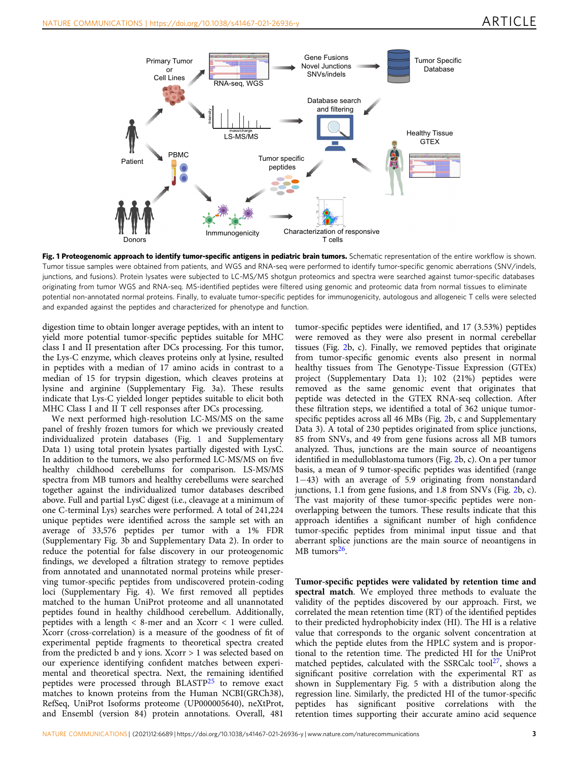<span id="page-2-0"></span>

Fig. 1 Proteogenomic approach to identify tumor-specific antigens in pediatric brain tumors. Schematic representation of the entire workflow is shown. Tumor tissue samples were obtained from patients, and WGS and RNA-seq were performed to identify tumor-specific genomic aberrations (SNV/indels, junctions, and fusions). Protein lysates were subjected to LC-MS/MS shotgun proteomics and spectra were searched against tumor-specific databases originating from tumor WGS and RNA-seq. MS-identified peptides were filtered using genomic and proteomic data from normal tissues to eliminate potential non-annotated normal proteins. Finally, to evaluate tumor-specific peptides for immunogenicity, autologous and allogeneic T cells were selected and expanded against the peptides and characterized for phenotype and function.

digestion time to obtain longer average peptides, with an intent to yield more potential tumor-specific peptides suitable for MHC class I and II presentation after DCs processing. For this tumor, the Lys-C enzyme, which cleaves proteins only at lysine, resulted in peptides with a median of 17 amino acids in contrast to a median of 15 for trypsin digestion, which cleaves proteins at lysine and arginine (Supplementary Fig. 3a). These results indicate that Lys-C yielded longer peptides suitable to elicit both MHC Class I and II T cell responses after DCs processing.

We next performed high-resolution LC-MS/MS on the same panel of freshly frozen tumors for which we previously created individualized protein databases (Fig. 1 and Supplementary Data 1) using total protein lysates partially digested with LysC. In addition to the tumors, we also performed LC-MS/MS on five healthy childhood cerebellums for comparison. LS-MS/MS spectra from MB tumors and healthy cerebellums were searched together against the individualized tumor databases described above. Full and partial LysC digest (i.e., cleavage at a minimum of one C-terminal Lys) searches were performed. A total of 241,224 unique peptides were identified across the sample set with an average of 33,576 peptides per tumor with a 1% FDR (Supplementary Fig. 3b and Supplementary Data 2). In order to reduce the potential for false discovery in our proteogenomic findings, we developed a filtration strategy to remove peptides from annotated and unannotated normal proteins while preserving tumor-specific peptides from undiscovered protein-coding loci (Supplementary Fig. 4). We first removed all peptides matched to the human UniProt proteome and all unannotated peptides found in healthy childhood cerebellum. Additionally, peptides with a length < 8-mer and an Xcorr < 1 were culled. Xcorr (cross-correlation) is a measure of the goodness of fit of experimental peptide fragments to theoretical spectra created from the predicted b and y ions. Xcorr > 1 was selected based on our experience identifying confident matches between experimental and theoretical spectra. Next, the remaining identified peptides were processed through BLASTP[25](#page-13-0) to remove exact matches to known proteins from the Human NCBI(GRCh38), RefSeq, UniProt Isoforms proteome (UP000005640), neXtProt, and Ensembl (version 84) protein annotations. Overall, 481

tumor-specific peptides were identified, and 17 (3.53%) peptides were removed as they were also present in normal cerebellar tissues (Fig. [2b](#page-3-0), c). Finally, we removed peptides that originate from tumor-specific genomic events also present in normal healthy tissues from The Genotype-Tissue Expression (GTEx) project (Supplementary Data 1); 102 (21%) peptides were removed as the same genomic event that originates that peptide was detected in the GTEX RNA-seq collection. After these filtration steps, we identified a total of 362 unique tumorspecific peptides across all 46 MBs (Fig. [2b](#page-3-0), c and Supplementary Data 3). A total of 230 peptides originated from splice junctions, 85 from SNVs, and 49 from gene fusions across all MB tumors analyzed. Thus, junctions are the main source of neoantigens identified in medulloblastoma tumors (Fig. [2b](#page-3-0), c). On a per tumor basis, a mean of 9 tumor-specific peptides was identified (range 1−43) with an average of 5.9 originating from nonstandard junctions, 1.1 from gene fusions, and 1.8 from SNVs (Fig. [2b](#page-3-0), c). The vast majority of these tumor-specific peptides were nonoverlapping between the tumors. These results indicate that this approach identifies a significant number of high confidence tumor-specific peptides from minimal input tissue and that aberrant splice junctions are the main source of neoantigens in MB tumors<sup>[26](#page-13-0)</sup>.

Tumor-specific peptides were validated by retention time and spectral match. We employed three methods to evaluate the validity of the peptides discovered by our approach. First, we correlated the mean retention time (RT) of the identified peptides to their predicted hydrophobicity index (HI). The HI is a relative value that corresponds to the organic solvent concentration at which the peptide elutes from the HPLC system and is proportional to the retention time. The predicted HI for the UniProt matched peptides, calculated with the SSRCalc tool $^{27}$  $^{27}$  $^{27}$ , shows a significant positive correlation with the experimental RT as shown in Supplementary Fig. 5 with a distribution along the regression line. Similarly, the predicted HI of the tumor-specific peptides has significant positive correlations with the retention times supporting their accurate amino acid sequence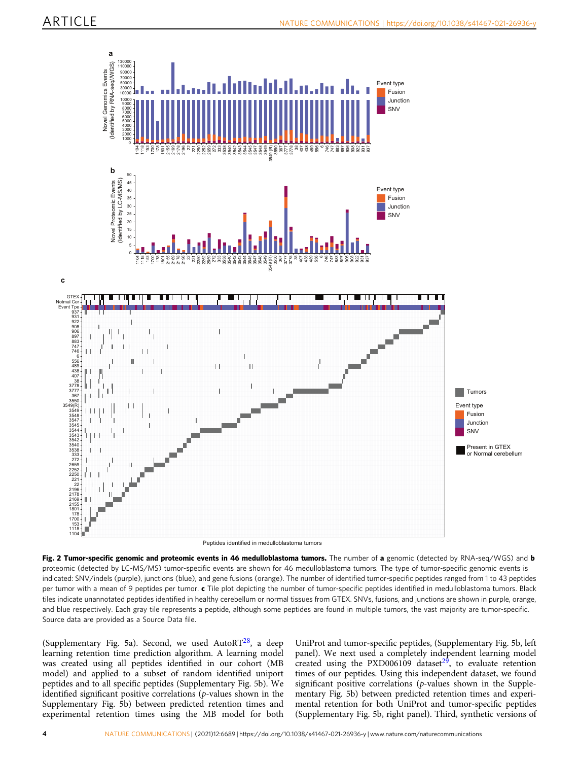<span id="page-3-0"></span>

Fig. 2 Tumor-specific genomic and proteomic events in 46 medulloblastoma tumors. The number of a genomic (detected by RNA-seq/WGS) and b proteomic (detected by LC-MS/MS) tumor-specific events are shown for 46 medulloblastoma tumors. The type of tumor-specific genomic events is indicated: SNV/indels (purple), junctions (blue), and gene fusions (orange). The number of identified tumor-specific peptides ranged from 1 to 43 peptides per tumor with a mean of 9 peptides per tumor. c Tile plot depicting the number of tumor-specific peptides identified in medulloblastoma tumors. Black tiles indicate unannotated peptides identified in healthy cerebellum or normal tissues from GTEX. SNVs, fusions, and junctions are shown in purple, orange, and blue respectively. Each gray tile represents a peptide, although some peptides are found in multiple tumors, the vast majority are tumor-specific. Source data are provided as a Source Data file.

(Supplementary Fig. 5a). Second, we used AutoR[T28](#page-13-0), a deep learning retention time prediction algorithm. A learning model was created using all peptides identified in our cohort (MB model) and applied to a subset of random identified uniport peptides and to all specific peptides (Supplementary Fig. 5b). We identified significant positive correlations (p-values shown in the Supplementary Fig. 5b) between predicted retention times and experimental retention times using the MB model for both

UniProt and tumor-specific peptides, (Supplementary Fig. 5b, left panel). We next used a completely independent learning model created using the PXD006109 dataset $2^5$ , to evaluate retention times of our peptides. Using this independent dataset, we found significant positive correlations (p-values shown in the Supplementary Fig. 5b) between predicted retention times and experimental retention for both UniProt and tumor-specific peptides (Supplementary Fig. 5b, right panel). Third, synthetic versions of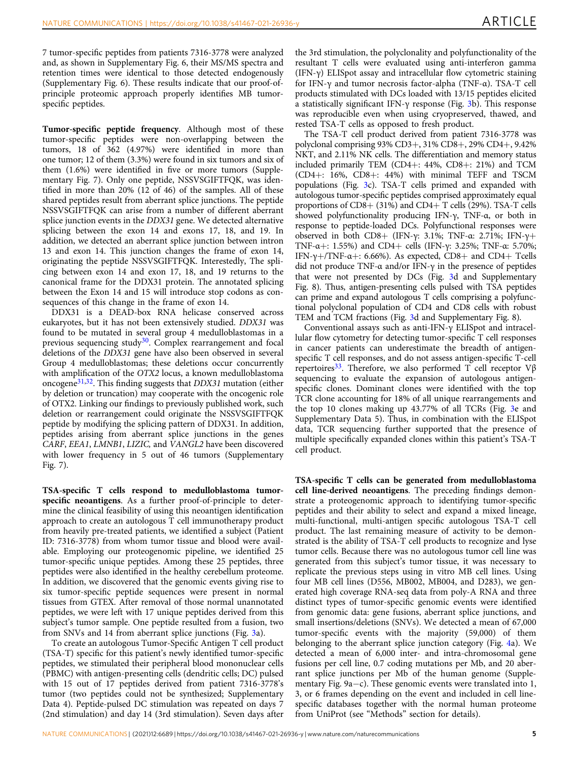7 tumor-specific peptides from patients 7316-3778 were analyzed and, as shown in Supplementary Fig. 6, their MS/MS spectra and retention times were identical to those detected endogenously (Supplementary Fig. 6). These results indicate that our proof-ofprinciple proteomic approach properly identifies MB tumorspecific peptides.

Tumor-specific peptide frequency. Although most of these tumor-specific peptides were non-overlapping between the tumors, 18 of 362 (4.97%) were identified in more than one tumor; 12 of them (3.3%) were found in six tumors and six of them (1.6%) were identified in five or more tumors (Supplementary Fig. 7). Only one peptide, NSSVSGIFTFQK, was identified in more than 20% (12 of 46) of the samples. All of these shared peptides result from aberrant splice junctions. The peptide NSSVSGIFTFQK can arise from a number of different aberrant splice junction events in the DDX31 gene. We detected alternative splicing between the exon 14 and exons 17, 18, and 19. In addition, we detected an aberrant splice junction between intron 13 and exon 14. This junction changes the frame of exon 14, originating the peptide NSSVSGIFTFQK. Interestedly, The splicing between exon 14 and exon 17, 18, and 19 returns to the canonical frame for the DDX31 protein. The annotated splicing between the Exon 14 and 15 will introduce stop codons as consequences of this change in the frame of exon 14.

DDX31 is a DEAD-box RNA helicase conserved across eukaryotes, but it has not been extensively studied. DDX31 was found to be mutated in several group 4 medulloblastomas in a previous sequencing study $30$ . Complex rearrangement and focal deletions of the DDX31 gene have also been observed in several Group 4 medulloblastomas; these deletions occur concurrently with amplification of the OTX2 locus, a known medulloblastoma oncogen[e31,32.](#page-13-0) This finding suggests that DDX31 mutation (either by deletion or truncation) may cooperate with the oncogenic role of OTX2. Linking our findings to previously published work, such deletion or rearrangement could originate the NSSVSGIFTFQK peptide by modifying the splicing pattern of DDX31. In addition, peptides arising from aberrant splice junctions in the genes CARF, EEA1, LMNB1, LIZIC, and VANGL2 have been discovered with lower frequency in 5 out of 46 tumors (Supplementary Fig. 7).

TSA-specific T cells respond to medulloblastoma tumorspecific neoantigens. As a further proof-of-principle to determine the clinical feasibility of using this neoantigen identification approach to create an autologous T cell immunotherapy product from heavily pre-treated patients, we identified a subject (Patient ID: 7316-3778) from whom tumor tissue and blood were available. Employing our proteogenomic pipeline, we identified 25 tumor-specific unique peptides. Among these 25 peptides, three peptides were also identified in the healthy cerebellum proteome. In addition, we discovered that the genomic events giving rise to six tumor-specific peptide sequences were present in normal tissues from GTEX. After removal of those normal unannotated peptides, we were left with 17 unique peptides derived from this subject's tumor sample. One peptide resulted from a fusion, two from SNVs and 14 from aberrant splice junctions (Fig. [3](#page-6-0)a).

To create an autologous Tumor-Specific Antigen T cell product (TSA-T) specific for this patient's newly identified tumor-specific peptides, we stimulated their peripheral blood mononuclear cells (PBMC) with antigen-presenting cells (dendritic cells; DC) pulsed with 15 out of 17 peptides derived from patient 7316-3778's tumor (two peptides could not be synthesized; Supplementary Data 4). Peptide-pulsed DC stimulation was repeated on days 7 (2nd stimulation) and day 14 (3rd stimulation). Seven days after the 3rd stimulation, the polyclonality and polyfunctionality of the resultant T cells were evaluated using anti-interferon gamma (IFN-γ) ELISpot assay and intracellular flow cytometric staining for IFN-γ and tumor necrosis factor-alpha (TNF-α). TSA-T cell products stimulated with DCs loaded with 13/15 peptides elicited a statistically significant IFN- $\nu$  response (Fig. [3](#page-6-0)b). This response was reproducible even when using cryopreserved, thawed, and rested TSA-T cells as opposed to fresh product.

The TSA-T cell product derived from patient 7316-3778 was polyclonal comprising 93% CD3+, 31% CD8+, 29% CD4+, 9.42% NKT, and 2.11% NK cells. The differentiation and memory status included primarily TEM (CD4+: 44%, CD8+: 21%) and TCM (CD4+: 16%, CD8+: 44%) with minimal TEFF and TSCM populations (Fig. [3](#page-6-0)c). TSA-T cells primed and expanded with autologous tumor-specific peptides comprised approximately equal proportions of  $CD8+ (31\%)$  and  $CD4+ T$  cells (29%). TSA-T cells showed polyfunctionality producing IFN-γ, TNF-α, or both in response to peptide-loaded DCs. Polyfunctional responses were observed in both CD8+ (IFN-γ: 3.1%; TNF-α: 2.71%; IFN-γ+ TNF-α+: 1.55%) and CD4+ cells (IFN-γ: 3.25%; TNF-α: 5.70%; IFN- $\gamma$ +/TNF- $\alpha$ +: 6.66%). As expected, CD8+ and CD4+ Tcells did not produce TNF-α and/or IFN-γ in the presence of peptides that were not presented by DCs (Fig. [3](#page-6-0)d and Supplementary Fig. 8). Thus, antigen-presenting cells pulsed with TSA peptides can prime and expand autologous T cells comprising a polyfunctional polyclonal population of CD4 and CD8 cells with robust TEM and TCM fractions (Fig. [3d](#page-6-0) and Supplementary Fig. 8).

Conventional assays such as anti-IFN-γ ELISpot and intracellular flow cytometry for detecting tumor-specific T cell responses in cancer patients can underestimate the breadth of antigenspecific T cell responses, and do not assess antigen-specific T-cell repertoires<sup>[33](#page-13-0)</sup>. Therefore, we also performed T cell receptor  $Vβ$ sequencing to evaluate the expansion of autologous antigenspecific clones. Dominant clones were identified with the top TCR clone accounting for 18% of all unique rearrangements and the top 10 clones making up 43.77% of all TCRs (Fig. [3e](#page-6-0) and Supplementary Data 5). Thus, in combination with the ELISpot data, TCR sequencing further supported that the presence of multiple specifically expanded clones within this patient's TSA-T cell product.

TSA-specific T cells can be generated from medulloblastoma cell line-derived neoantigens. The preceding findings demonstrate a proteogenomic approach to identifying tumor-specific peptides and their ability to select and expand a mixed lineage, multi-functional, multi-antigen specific autologous TSA-T cell product. The last remaining measure of activity to be demonstrated is the ability of TSA-T cell products to recognize and lyse tumor cells. Because there was no autologous tumor cell line was generated from this subject's tumor tissue, it was necessary to replicate the previous steps using in vitro MB cell lines. Using four MB cell lines (D556, MB002, MB004, and D283), we generated high coverage RNA-seq data from poly-A RNA and three distinct types of tumor-specific genomic events were identified from genomic data: gene fusions, aberrant splice junctions, and small insertions/deletions (SNVs). We detected a mean of 67,000 tumor-specific events with the majority (59,000) of them belonging to the aberrant splice junction category (Fig. [4a](#page-6-0)). We detected a mean of 6,000 inter- and intra-chromosomal gene fusions per cell line, 0.7 coding mutations per Mb, and 20 aberrant splice junctions per Mb of the human genome (Supplementary Fig. 9a−c). These genomic events were translated into 1, 3, or 6 frames depending on the event and included in cell linespecific databases together with the normal human proteome from UniProt (see "Methods" section for details).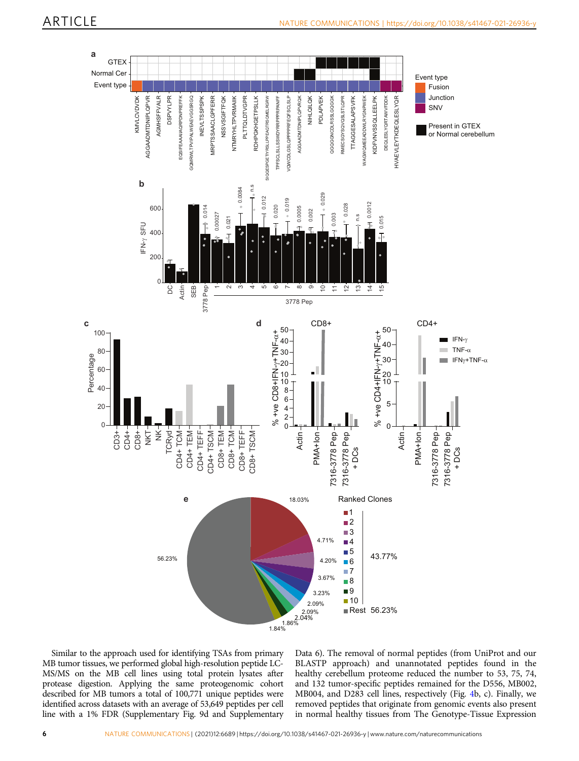

Similar to the approach used for identifying TSAs from primary MB tumor tissues, we performed global high-resolution peptide LC-MS/MS on the MB cell lines using total protein lysates after protease digestion. Applying the same proteogenomic cohort described for MB tumors a total of 100,771 unique peptides were identified across datasets with an average of 53,649 peptides per cell line with a 1% FDR (Supplementary Fig. 9d and Supplementary

Data 6). The removal of normal peptides (from UniProt and our BLASTP approach) and unannotated peptides found in the healthy cerebellum proteome reduced the number to 53, 75, 74, and 132 tumor-specific peptides remained for the D556, MB002, MB004, and D283 cell lines, respectively (Fig. [4b](#page-6-0), c). Finally, we removed peptides that originate from genomic events also present in normal healthy tissues from The Genotype-Tissue Expression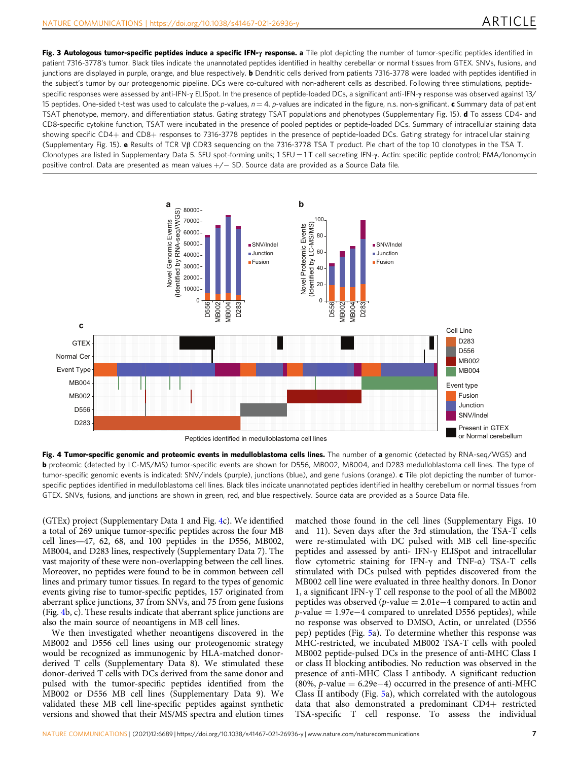<span id="page-6-0"></span>Fig. 3 Autologous tumor-specific peptides induce a specific IFN-y response. a Tile plot depicting the number of tumor-specific peptides identified in patient 7316-3778's tumor. Black tiles indicate the unannotated peptides identified in healthy cerebellar or normal tissues from GTEX. SNVs, fusions, and junctions are displayed in purple, orange, and blue respectively. **b** Dendritic cells derived from patients 7316-3778 were loaded with peptides identified in the subject's tumor by our proteogenomic pipeline. DCs were co-cultured with non-adherent cells as described. Following three stimulations, peptidespecific responses were assessed by anti-IFN-γ ELISpot. In the presence of peptide-loaded DCs, a significant anti-IFN-γ response was observed against 13/ 15 peptides. One-sided t-test was used to calculate the p-values,  $n = 4$ . p-values are indicated in the figure, n.s. non-significant. c Summary data of patient TSAT phenotype, memory, and differentiation status. Gating strategy TSAT populations and phenotypes (Supplementary Fig. 15). **d** To assess CD4- and CD8-specific cytokine function, TSAT were incubated in the presence of pooled peptides or peptide-loaded DCs. Summary of intracellular staining data showing specific CD4+ and CD8+ responses to 7316-3778 peptides in the presence of peptide-loaded DCs. Gating strategy for intracellular staining (Supplementary Fig. 15). e Results of TCR Vβ CDR3 sequencing on the 7316-3778 TSA T product. Pie chart of the top 10 clonotypes in the TSA T. Clonotypes are listed in Supplementary Data 5. SFU spot-forming units; 1 SFU = 1 T cell secreting IFN-γ. Actin: specific peptide control; PMA/Ionomycin positive control. Data are presented as mean values +/− SD. Source data are provided as a Source Data file.



Fig. 4 Tumor-specific genomic and proteomic events in medulloblastoma cells lines. The number of a genomic (detected by RNA-seq/WGS) and **b** proteomic (detected by LC-MS/MS) tumor-specific events are shown for D556, MB002, MB004, and D283 medulloblastoma cell lines. The type of tumor-specific genomic events is indicated: SNV/indels (purple), junctions (blue), and gene fusions (orange). c Tile plot depicting the number of tumorspecific peptides identified in medulloblastoma cell lines. Black tiles indicate unannotated peptides identified in healthy cerebellum or normal tissues from GTEX. SNVs, fusions, and junctions are shown in green, red, and blue respectively. Source data are provided as a Source Data file.

(GTEx) project (Supplementary Data 1 and Fig. 4c). We identified a total of 269 unique tumor-specific peptides across the four MB cell lines—47, 62, 68, and 100 peptides in the D556, MB002, MB004, and D283 lines, respectively (Supplementary Data 7). The vast majority of these were non-overlapping between the cell lines. Moreover, no peptides were found to be in common between cell lines and primary tumor tissues. In regard to the types of genomic events giving rise to tumor-specific peptides, 157 originated from aberrant splice junctions, 37 from SNVs, and 75 from gene fusions (Fig. 4b, c). These results indicate that aberrant splice junctions are also the main source of neoantigens in MB cell lines.

We then investigated whether neoantigens discovered in the MB002 and D556 cell lines using our proteogenomic strategy would be recognized as immunogenic by HLA-matched donorderived T cells (Supplementary Data 8). We stimulated these donor-derived T cells with DCs derived from the same donor and pulsed with the tumor-specific peptides identified from the MB002 or D556 MB cell lines (Supplementary Data 9). We validated these MB cell line-specific peptides against synthetic versions and showed that their MS/MS spectra and elution times

matched those found in the cell lines (Supplementary Figs. 10 and 11). Seven days after the 3rd stimulation, the TSA-T cells were re-stimulated with DC pulsed with MB cell line-specific peptides and assessed by anti- IFN-γ ELISpot and intracellular flow cytometric staining for IFN-γ and TNF-α) TSA-T cells stimulated with DCs pulsed with peptides discovered from the MB002 cell line were evaluated in three healthy donors. In Donor 1, a significant IFN-γ T cell response to the pool of all the MB002 peptides was observed (p-value = 2.01e−4 compared to actin and p-value = 1.97e−4 compared to unrelated D556 peptides), while no response was observed to DMSO, Actin, or unrelated (D556 pep) peptides (Fig. [5](#page-7-0)a). To determine whether this response was MHC-restricted, we incubated MB002 TSA-T cells with pooled MB002 peptide-pulsed DCs in the presence of anti-MHC Class I or class II blocking antibodies. No reduction was observed in the presence of anti-MHC Class I antibody. A significant reduction (80%, *p*-value = 6.29e–4) occurred in the presence of anti-MHC Class II antibody (Fig. [5a](#page-7-0)), which correlated with the autologous data that also demonstrated a predominant CD4+ restricted TSA-specific T cell response. To assess the individual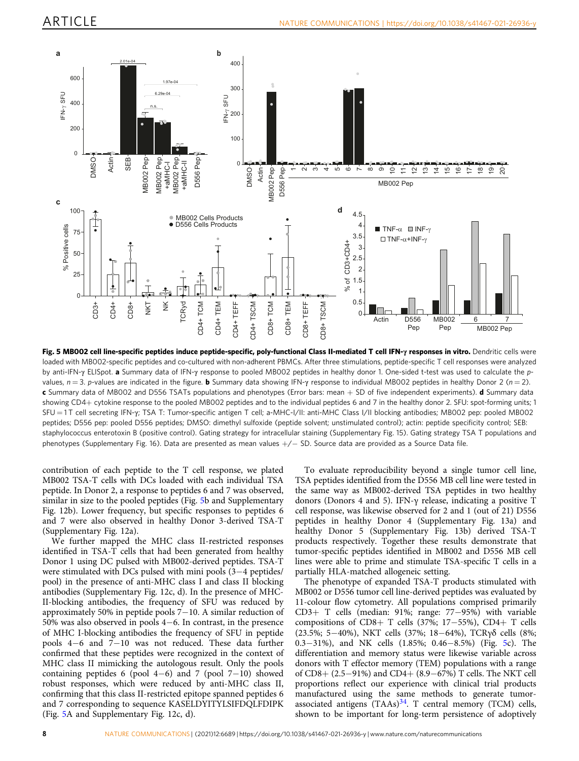<span id="page-7-0"></span>

Fig. 5 MB002 cell line-specific peptides induce peptide-specific, poly-functional Class II-mediated T cell IFN-y responses in vitro. Dendritic cells were loaded with MB002-specific peptides and co-cultured with non-adherent PBMCs. After three stimulations, peptide-specific T cell responses were analyzed by anti-IFN-γ ELISpot. a Summary data of IFN-γ response to pooled MB002 peptides in healthy donor 1. One-sided t-test was used to calculate the pvalues,  $n = 3$ . p-values are indicated in the figure. **b** Summary data showing IFN-γ response to individual MB002 peptides in healthy Donor 2 ( $n = 2$ ). c Summary data of MB002 and D556 TSATs populations and phenotypes (Error bars: mean + SD of five independent experiments). d Summary data showing CD4+ cytokine response to the pooled MB002 peptides and to the individual peptides 6 and 7 in the healthy donor 2. SFU: spot-forming units; 1 SFU = 1 T cell secreting IFN-γ; TSA T: Tumor-specific antigen T cell; a-MHC-I/II: anti-MHC Class I/II blocking antibodies; MB002 pep: pooled MB002 peptides; D556 pep: pooled D556 peptides; DMSO: dimethyl sulfoxide (peptide solvent; unstimulated control); actin: peptide specificity control; SEB: staphylococcus enterotoxin B (positive control). Gating strategy for intracellular staining (Supplementary Fig. 15). Gating strategy TSA T populations and phenotypes (Supplementary Fig. 16). Data are presented as mean values +/− SD. Source data are provided as a Source Data file.

contribution of each peptide to the T cell response, we plated MB002 TSA-T cells with DCs loaded with each individual TSA peptide. In Donor 2, a response to peptides 6 and 7 was observed, similar in size to the pooled peptides (Fig. 5b and Supplementary Fig. 12b). Lower frequency, but specific responses to peptides 6 and 7 were also observed in healthy Donor 3-derived TSA-T (Supplementary Fig. 12a).

We further mapped the MHC class II-restricted responses identified in TSA-T cells that had been generated from healthy Donor 1 using DC pulsed with MB002-derived peptides. TSA-T were stimulated with DCs pulsed with mini pools (3−4 peptides/ pool) in the presence of anti-MHC class I and class II blocking antibodies (Supplementary Fig. 12c, d). In the presence of MHC-II-blocking antibodies, the frequency of SFU was reduced by approximately 50% in peptide pools 7−10. A similar reduction of 50% was also observed in pools 4−6. In contrast, in the presence of MHC I-blocking antibodies the frequency of SFU in peptide pools 4−6 and 7−10 was not reduced. These data further confirmed that these peptides were recognized in the context of MHC class II mimicking the autologous result. Only the pools containing peptides 6 (pool 4−6) and 7 (pool 7−10) showed robust responses, which were reduced by anti-MHC class II, confirming that this class II-restricted epitope spanned peptides 6 and 7 corresponding to sequence KASELDYITYLSIFDQLFDIPK (Fig. 5A and Supplementary Fig. 12c, d).

To evaluate reproducibility beyond a single tumor cell line, TSA peptides identified from the D556 MB cell line were tested in the same way as MB002-derived TSA peptides in two healthy donors (Donors 4 and 5). IFN-γ release, indicating a positive T cell response, was likewise observed for 2 and 1 (out of 21) D556 peptides in healthy Donor 4 (Supplementary Fig. 13a) and healthy Donor 5 (Supplementary Fig. 13b) derived TSA-T products respectively. Together these results demonstrate that tumor-specific peptides identified in MB002 and D556 MB cell lines were able to prime and stimulate TSA-specific T cells in a partially HLA-matched allogeneic setting.

The phenotype of expanded TSA-T products stimulated with MB002 or D556 tumor cell line-derived peptides was evaluated by 11-colour flow cytometry. All populations comprised primarily CD3+ T cells (median: 91%; range: 77−95%) with variable compositions of CD8+ T cells (37%; 17−55%), CD4+ T cells (23.5%; 5−40%), NKT cells (37%; 18−64%), TCRγδ cells (8%; 0.3−31%), and NK cells (1.85%; 0.46−8.5%) (Fig. 5c). The differentiation and memory status were likewise variable across donors with T effector memory (TEM) populations with a range of CD8+ (2.5−91%) and CD4+ (8.9−67%) T cells. The NKT cell proportions reflect our experience with clinical trial products manufactured using the same methods to generate tumorassociated antigens  $(TAAs)^{34}$  $(TAAs)^{34}$  $(TAAs)^{34}$ . T central memory (TCM) cells, shown to be important for long-term persistence of adoptively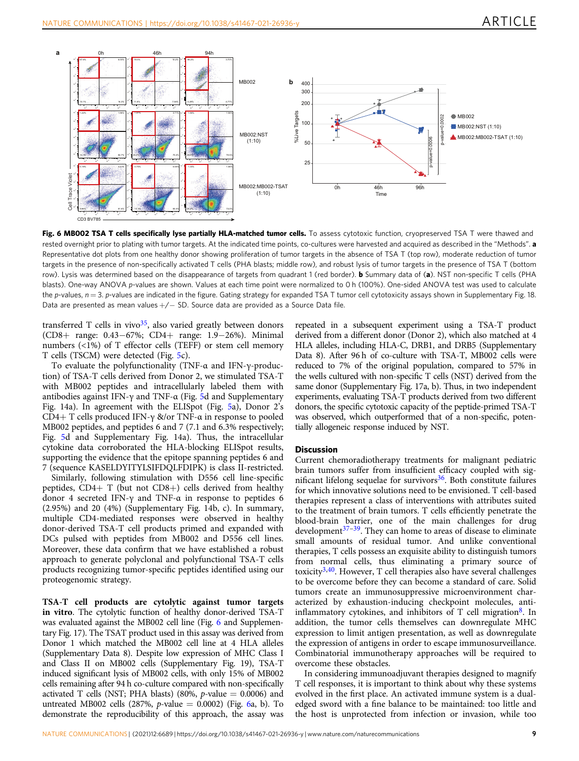

Fig. 6 MB002 TSA T cells specifically lyse partially HLA-matched tumor cells. To assess cytotoxic function, cryopreserved TSA T were thawed and rested overnight prior to plating with tumor targets. At the indicated time points, co-cultures were harvested and acquired as described in the "Methods". a Representative dot plots from one healthy donor showing proliferation of tumor targets in the absence of TSA T (top row), moderate reduction of tumor targets in the presence of non-specifically activated T cells (PHA blasts; middle row), and robust lysis of tumor targets in the presence of TSA T (bottom row). Lysis was determined based on the disappearance of targets from quadrant 1 (red border). **b** Summary data of (a). NST non-specific T cells (PHA blasts). One-way ANOVA p-values are shown. Values at each time point were normalized to 0 h (100%). One-sided ANOVA test was used to calculate the p-values,  $n = 3$ . p-values are indicated in the figure. Gating strategy for expanded TSA T tumor cell cytotoxicity assays shown in Supplementary Fig. 18. Data are presented as mean values +/− SD. Source data are provided as a Source Data file.

transferred T cells in vivo $35$ , also varied greatly between donors (CD8+ range: 0.43−67%; CD4+ range: 1.9−26%). Minimal numbers (<1%) of T effector cells (TEFF) or stem cell memory T cells (TSCM) were detected (Fig. [5](#page-7-0)c).

To evaluate the polyfunctionality (TNF-α and IFN-γ-production) of TSA-T cells derived from Donor 2, we stimulated TSA-T with MB002 peptides and intracellularly labeled them with antibodies against IFN-γ and TNF- $\alpha$  (Fig. [5](#page-7-0)d and Supplementary Fig. 14a). In agreement with the ELISpot (Fig. [5a](#page-7-0)), Donor 2's CD4+ T cells produced IFN-γ &/or TNF-α in response to pooled MB002 peptides, and peptides 6 and 7 (7.1 and 6.3% respectively; Fig. [5](#page-7-0)d and Supplementary Fig. 14a). Thus, the intracellular cytokine data corroborated the HLA-blocking ELISpot results, supporting the evidence that the epitope spanning peptides 6 and 7 (sequence KASELDYITYLSIFDQLFDIPK) is class II-restricted.

Similarly, following stimulation with D556 cell line-specific peptides,  $CD4+T$  (but not  $CD8+$ ) cells derived from healthy donor 4 secreted IFN-γ and TNF-α in response to peptides 6 (2.95%) and 20 (4%) (Supplementary Fig. 14b, c). In summary, multiple CD4-mediated responses were observed in healthy donor-derived TSA-T cell products primed and expanded with DCs pulsed with peptides from MB002 and D556 cell lines. Moreover, these data confirm that we have established a robust approach to generate polyclonal and polyfunctional TSA-T cells products recognizing tumor-specific peptides identified using our proteogenomic strategy.

TSA-T cell products are cytolytic against tumor targets in vitro. The cytolytic function of healthy donor-derived TSA-T was evaluated against the MB002 cell line (Fig. 6 and Supplementary Fig. 17). The TSAT product used in this assay was derived from Donor 1 which matched the MB002 cell line at 4 HLA alleles (Supplementary Data 8). Despite low expression of MHC Class I and Class II on MB002 cells (Supplementary Fig. 19), TSA-T induced significant lysis of MB002 cells, with only 15% of MB002 cells remaining after 94 h co-culture compared with non-specifically activated T cells (NST; PHA blasts) (80%,  $p$ -value = 0.0006) and untreated MB002 cells (287%, p-value  $= 0.0002$ ) (Fig. 6a, b). To demonstrate the reproducibility of this approach, the assay was

repeated in a subsequent experiment using a TSA-T product derived from a different donor (Donor 2), which also matched at 4 HLA alleles, including HLA-C, DRB1, and DRB5 (Supplementary Data 8). After 96 h of co-culture with TSA-T, MB002 cells were reduced to 7% of the original population, compared to 57% in the wells cultured with non-specific T cells (NST) derived from the same donor (Supplementary Fig. 17a, b). Thus, in two independent experiments, evaluating TSA-T products derived from two different donors, the specific cytotoxic capacity of the peptide-primed TSA-T was observed, which outperformed that of a non-specific, potentially allogeneic response induced by NST.

### **Discussion**

Current chemoradiotherapy treatments for malignant pediatric brain tumors suffer from insufficient efficacy coupled with significant lifelong sequelae for survivors $36$ . Both constitute failures for which innovative solutions need to be envisioned. T cell-based therapies represent a class of interventions with attributes suited to the treatment of brain tumors. T cells efficiently penetrate the blood-brain barrier, one of the main challenges for drug development $37-39$  $37-39$ . They can home to areas of disease to eliminate small amounts of residual tumor. And unlike conventional therapies, T cells possess an exquisite ability to distinguish tumors from normal cells, thus eliminating a primary source of toxicity<sup>[3](#page-13-0),[40](#page-13-0)</sup>. However, T cell therapies also have several challenges to be overcome before they can become a standard of care. Solid tumors create an immunosuppressive microenvironment characterized by exhaustion-inducing checkpoint molecules, antiinflammatory cytokines, and inhibitors of  $T$  cell migration<sup>8</sup>. In addition, the tumor cells themselves can downregulate MHC expression to limit antigen presentation, as well as downregulate the expression of antigens in order to escape immunosurveillance. Combinatorial immunotherapy approaches will be required to overcome these obstacles.

In considering immunoadjuvant therapies designed to magnify T cell responses, it is important to think about why these systems evolved in the first place. An activated immune system is a dualedged sword with a fine balance to be maintained: too little and the host is unprotected from infection or invasion, while too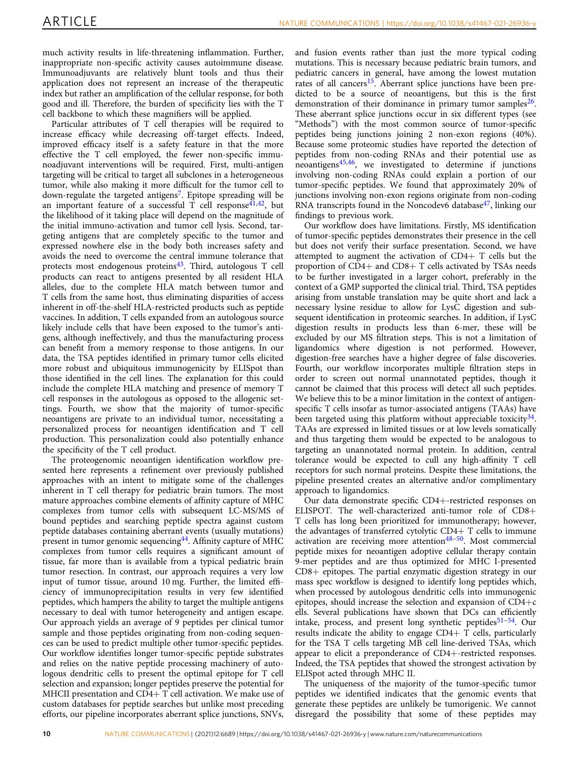much activity results in life-threatening inflammation. Further, inappropriate non-specific activity causes autoimmune disease. Immunoadjuvants are relatively blunt tools and thus their application does not represent an increase of the therapeutic index but rather an amplification of the cellular response, for both good and ill. Therefore, the burden of specificity lies with the T cell backbone to which these magnifiers will be applied.

Particular attributes of T cell therapies will be required to increase efficacy while decreasing off-target effects. Indeed, improved efficacy itself is a safety feature in that the more effective the T cell employed, the fewer non-specific immunoadjuvant interventions will be required. First, multi-antigen targeting will be critical to target all subclones in a heterogeneous tumor, while also making it more difficult for the tumor cell to down-regulate the targeted antigens<sup>7</sup>. Epitope spreading will be an important feature of a successful  $\overline{T}$  cell response<sup>[41](#page-13-0),[42](#page-13-0)</sup>, but the likelihood of it taking place will depend on the magnitude of the initial immuno-activation and tumor cell lysis. Second, targeting antigens that are completely specific to the tumor and expressed nowhere else in the body both increases safety and avoids the need to overcome the central immune tolerance that protects most endogenous proteins $43$ . Third, autologous T cell products can react to antigens presented by all resident HLA alleles, due to the complete HLA match between tumor and T cells from the same host, thus eliminating disparities of access inherent in off-the-shelf HLA-restricted products such as peptide vaccines. In addition, T cells expanded from an autologous source likely include cells that have been exposed to the tumor's antigens, although ineffectively, and thus the manufacturing process can benefit from a memory response to those antigens. In our data, the TSA peptides identified in primary tumor cells elicited more robust and ubiquitous immunogenicity by ELISpot than those identified in the cell lines. The explanation for this could include the complete HLA matching and presence of memory T cell responses in the autologous as opposed to the allogenic settings. Fourth, we show that the majority of tumor-specific neoantigens are private to an individual tumor, necessitating a personalized process for neoantigen identification and T cell production. This personalization could also potentially enhance the specificity of the T cell product.

The proteogenomic neoantigen identification workflow presented here represents a refinement over previously published approaches with an intent to mitigate some of the challenges inherent in T cell therapy for pediatric brain tumors. The most mature approaches combine elements of affinity capture of MHC complexes from tumor cells with subsequent LC-MS/MS of bound peptides and searching peptide spectra against custom peptide databases containing aberrant events (usually mutations) present in tumor genomic sequencing<sup>44</sup>. Affinity capture of MHC complexes from tumor cells requires a significant amount of tissue, far more than is available from a typical pediatric brain tumor resection. In contrast, our approach requires a very low input of tumor tissue, around 10 mg. Further, the limited efficiency of immunoprecipitation results in very few identified peptides, which hampers the ability to target the multiple antigens necessary to deal with tumor heterogeneity and antigen escape. Our approach yields an average of 9 peptides per clinical tumor sample and those peptides originating from non-coding sequences can be used to predict multiple other tumor-specific peptides. Our workflow identifies longer tumor-specific peptide substrates and relies on the native peptide processing machinery of autologous dendritic cells to present the optimal epitope for T cell selection and expansion; longer peptides preserve the potential for MHCII presentation and CD4+ T cell activation. We make use of custom databases for peptide searches but unlike most preceding efforts, our pipeline incorporates aberrant splice junctions, SNVs,

and fusion events rather than just the more typical coding mutations. This is necessary because pediatric brain tumors, and pediatric cancers in general, have among the lowest mutation rates of all cancers<sup>15</sup>. Aberrant splice junctions have been predicted to be a source of neoantigens, but this is the first demonstration of their dominance in primary tumor samples<sup>26</sup>. These aberrant splice junctions occur in six different types (see "Methods") with the most common source of tumor-specific peptides being junctions joining 2 non-exon regions (40%). Because some proteomic studies have reported the detection of peptides from non-coding RNAs and their potential use as neoantigens[45](#page-13-0),[46](#page-13-0), we investigated to determine if junctions involving non-coding RNAs could explain a portion of our tumor-specific peptides. We found that approximately 20% of junctions involving non-exon regions originate from non-coding RNA transcripts found in the Noncodev6 database $47$ , linking our findings to previous work.

Our workflow does have limitations. Firstly, MS identification of tumor-specific peptides demonstrates their presence in the cell but does not verify their surface presentation. Second, we have attempted to augment the activation of  $CD4+T$  cells but the proportion of CD4+ and CD8+ T cells activated by TSAs needs to be further investigated in a larger cohort, preferably in the context of a GMP supported the clinical trial. Third, TSA peptides arising from unstable translation may be quite short and lack a necessary lysine residue to allow for LysC digestion and subsequent identification in proteomic searches. In addition, if LysC digestion results in products less than 6-mer, these will be excluded by our MS filtration steps. This is not a limitation of ligandomics where digestion is not performed. However, digestion-free searches have a higher degree of false discoveries. Fourth, our workflow incorporates multiple filtration steps in order to screen out normal unannotated peptides, though it cannot be claimed that this process will detect all such peptides. We believe this to be a minor limitation in the context of antigenspecific T cells insofar as tumor-associated antigens (TAAs) have been targeted using this platform without appreciable toxicity<sup>34</sup>. TAAs are expressed in limited tissues or at low levels somatically and thus targeting them would be expected to be analogous to targeting an unannotated normal protein. In addition, central tolerance would be expected to cull any high-affinity T cell receptors for such normal proteins. Despite these limitations, the pipeline presented creates an alternative and/or complimentary approach to ligandomics.

Our data demonstrate specific CD4+-restricted responses on ELISPOT. The well-characterized anti-tumor role of CD8+ T cells has long been prioritized for immunotherapy; however, the advantages of transferred cytolytic CD4+ T cells to immune activation are receiving more attention $48-50$ . Most commercial peptide mixes for neoantigen adoptive cellular therapy contain 9-mer peptides and are thus optimized for MHC I-presented CD8+ epitopes. The partial enzymatic digestion strategy in our mass spec workflow is designed to identify long peptides which, when processed by autologous dendritic cells into immunogenic epitopes, should increase the selection and expansion of CD4+c ells. Several publications have shown that DCs can efficiently intake, process, and present long synthetic peptides<sup>[51](#page-13-0)-54</sup>. Our results indicate the ability to engage CD4+ T cells, particularly for the TSA T cells targeting MB cell line-derived TSAs, which appear to elicit a preponderance of CD4+-restricted responses. Indeed, the TSA peptides that showed the strongest activation by ELISpot acted through MHC II.

The uniqueness of the majority of the tumor-specific tumor peptides we identified indicates that the genomic events that generate these peptides are unlikely be tumorigenic. We cannot disregard the possibility that some of these peptides may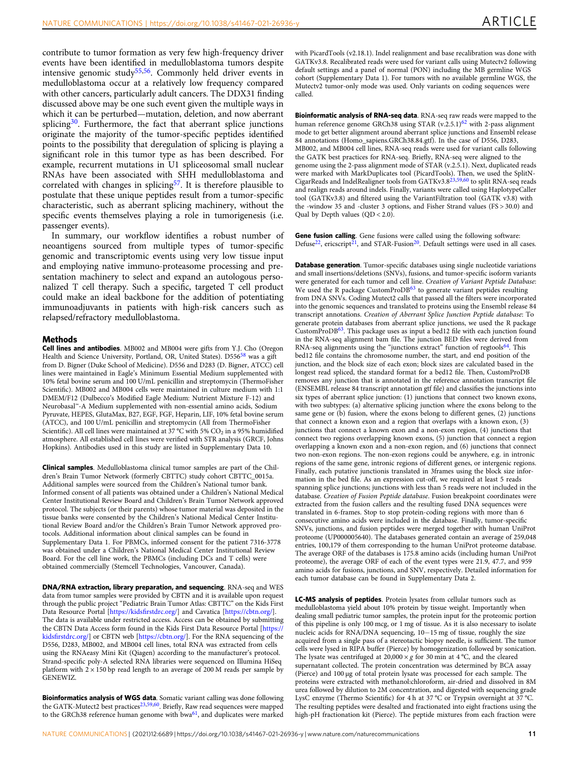contribute to tumor formation as very few high-frequency driver events have been identified in medulloblastoma tumors despite intensive genomic study<sup>55,56</sup>. Commonly held driver events in medulloblastoma occur at a relatively low frequency compared with other cancers, particularly adult cancers. The DDX31 finding discussed above may be one such event given the multiple ways in which it can be perturbed—mutation, deletion, and now aberrant splicing $30$ . Furthermore, the fact that aberrant splice junctions originate the majority of the tumor-specific peptides identified points to the possibility that deregulation of splicing is playing a significant role in this tumor type as has been described. For example, recurrent mutations in U1 spliceosomal small nuclear RNAs have been associated with SHH medulloblastoma and correlated with changes in splicing<sup>57</sup>. It is therefore plausible to postulate that these unique peptides result from a tumor-specific characteristic, such as aberrant splicing machinery, without the specific events themselves playing a role in tumorigenesis (i.e. passenger events).

In summary, our workflow identifies a robust number of neoantigens sourced from multiple types of tumor-specific genomic and transcriptomic events using very low tissue input and employing native immuno-proteasome processing and presentation machinery to select and expand an autologous personalized T cell therapy. Such a specific, targeted T cell product could make an ideal backbone for the addition of potentiating immunoadjuvants in patients with high-risk cancers such as relapsed/refractory medulloblastoma.

### Methods

Cell lines and antibodies. MB002 and MB004 were gifts from Y.J. Cho (Oregon Health and Science University, Portland, OR, United States). D556<sup>[58](#page-14-0)</sup> was a gift from D. Bigner (Duke School of Medicine). D556 and D283 (D. Bigner, ATCC) cell lines were maintained in Eagle's Minimum Essential Medium supplemented with 10% fetal bovine serum and 100 U/mL penicillin and streptomycin (ThermoFisher Scientific). MB002 and MB004 cells were maintained in culture medium with 1:1 DMEM/F12 (Dulbecco's Modified Eagle Medium: Nutrient Mixture F-12) and Neurobasal™-A Medium supplemented with non-essential amino acids, Sodium Pyruvate, HEPES, GlutaMax, B27, EGF, FGF, Heparin, LIF, 10% fetal bovine serum (ATCC), and 100 U/mL penicillin and streptomycin (All from ThermoFisher Scientific). All cell lines were maintained at  $37^{\circ}$ C with 5% CO<sub>2</sub> in a 95% humidified atmosphere. All established cell lines were verified with STR analysis (GRCF, Johns Hopkins). Antibodies used in this study are listed in Supplementary Data 10.

Clinical samples. Medulloblastoma clinical tumor samples are part of the Children's Brain Tumor Network (formerly CBTTC) study cohort CBTTC\_0015a. Additional samples were sourced from the Children's National tumor bank. Informed consent of all patients was obtained under a Children's National Medical Center Institutional Review Board and Children's Brain Tumor Network approved protocol. The subjects (or their parents) whose tumor material was deposited in the tissue banks were consented by the Children's National Medical Center Institutional Review Board and/or the Children's Brain Tumor Network approved protocols. Additional information about clinical samples can be found in Supplementary Data 1. For PBMCs, informed consent for the patient 7316-3778 was obtained under a Children's National Medical Center Institutional Review Board. For the cell line work, the PBMCs (including DCs and T cells) were obtained commercially (Stemcell Technologies, Vancouver, Canada).

DNA/RNA extraction, library preparation, and sequencing. RNA-seq and WES data from tumor samples were provided by CBTN and it is available upon request through the public project "Pediatric Brain Tumor Atlas: CBTTC" on the Kids First Data Resource Portal [\[https://kids](https://kidsfirstdrc.org/)firstdrc.org/] and Cavatica [\[https://cbtn.org/](https://cbtn.org/)]. The data is available under restricted access. Access can be obtained by submitting the CBTN Data Access form found in the Kids First Data Resource Portal [\[https://](https://kidsfirstdrc.org/) kidsfi[rstdrc.org/](https://kidsfirstdrc.org/)] or CBTN web [<https://cbtn.org/>]. For the RNA sequencing of the D556, D283, MB002, and MB004 cell lines, total RNA was extracted from cells using the RNAeasy Mini Kit (Qiagen) according to the manufacturer's protocol. Strand-specific poly-A selected RNA libraries were sequenced on Illumina HiSeq platform with  $2 \times 150$  bp read length to an average of 200 M reads per sample by GENEWIZ.

Bioinformatics analysis of WGS data. Somatic variant calling was done following the GATK-Mutect2 best practices<sup>[23,](#page-13-0)59,60</sup>. Briefly, Raw read sequences were mapped to the GRCh38 reference human genome with bwa<sup>[61](#page-14-0)</sup>, and duplicates were marked

with PicardTools (v2.18.1). Indel realignment and base recalibration was done with GATKv3.8. Recalibrated reads were used for variant calls using Mutectv2 following default settings and a panel of normal (PON) including the MB germline WGS cohort (Supplementary Data 1). For tumors with no available germline WGS, the Mutectv2 tumor-only mode was used. Only variants on coding sequences were called.

Bioinformatic analysis of RNA-seq data. RNA-seq raw reads were mapped to the human reference genome GRCh38 using STAR  $(v.2.5.1)$ <sup>[62](#page-14-0)</sup> with 2-pass alignment mode to get better alignment around aberrant splice junctions and Ensembl release 84 annotations (Homo\_sapiens.GRCh38.84.gtf). In the case of D556, D283, MB002, and MB004 cell lines, RNA-seq reads were used for variant calls following the GATK best practices for RNA-seq. Briefly, RNA-seq were aligned to the genome using the 2-pass alignment mode of STAR (v.2.5.1). Next, duplicated reads were marked with MarkDuplicates tool (PicardTools). Then, we used the SplitN-<br>CigarReads and IndelRealigner tools from GATKv3.8<sup>[23](#page-13-0),[59](#page-14-0),[60](#page-14-0)</sup> to split RNA-seq reads and realign reads around indels. Finally, variants were called using HaplotypeCaller tool (GATKv3.8) and filtered using the VariantFiltration tool (GATK v3.8) with the -window 35 and -cluster 3 options, and Fisher Strand values (FS > 30.0) and Qual by Depth values (QD < 2.0).

Gene fusion calling. Gene fusions were called using the following software: Defuse<sup>22</sup>, ericscript<sup>21</sup>, and STAR-Fusion<sup>[20](#page-13-0)</sup>. Default settings were used in all cases.

Database generation. Tumor-specific databases using single nucleotide variations and small insertions/deletions (SNVs), fusions, and tumor-specific isoform variants were generated for each tumor and cell line. Creation of Variant Peptide Database: We used the R package CustomProDB<sup>[63](#page-14-0)</sup> to generate variant peptides resulting from DNA SNVs. Coding Mutect2 calls that passed all the filters were incorporated into the genomic sequences and translated to proteins using the Ensembl release 84 transcript annotations. Creation of Aberrant Splice Junction Peptide database: To generate protein databases from aberrant splice junctions, we used the R package CustomProDB[63](#page-14-0). This package uses as input a bed12 file with each junction found in the RNA-seq alignment bam file. The junction BED files were derived from RNA-seq alignments using the "junctions extract" function of regtools<sup>64</sup>. This bed12 file contains the chromosome number, the start, and end position of the junction, and the block size of each exon; block sizes are calculated based in the longest read spliced, the standard format for a bed12 file. Then, CustomProDB removes any junction that is annotated in the reference annotation transcript file (ENSEMBL release 84 transcript annotation gtf file) and classifies the junctions into six types of aberrant splice junction: (1) junctions that connect two known exons, with two subtypes: (a) alternative splicing junction where the exons belong to the same gene or (b) fusion, where the exons belong to different genes, (2) junctions that connect a known exon and a region that overlaps with a known exon, (3) junctions that connect a known exon and a non-exon region, (4) junctions that connect two regions overlapping known exons, (5) junction that connect a region overlapping a known exon and a non-exon region, and (6) junctions that connect two non-exon regions. The non-exon regions could be anywhere, e.g. in intronic regions of the same gene, intronic regions of different genes, or intergenic regions. Finally, each putative junctionis translated in 3frames using the block size information in the bed file. As an expression cut-off, we required at least 5 reads spanning splice junctions; junctions with less than 5 reads were not included in the database. Creation of Fusion Peptide database. Fusion breakpoint coordinates were extracted from the fusion callers and the resulting fused DNA sequences were translated in 6-frames. Stop to stop protein-coding regions with more than 6 consecutive amino acids were included in the database. Finally, tumor-specific SNVs, junctions, and fusion peptides were merged together with human UniProt proteome (UP000005640). The databases generated contain an average of 259,048 entries, 100,179 of them corresponding to the human UniProt proteome database. The average ORF of the databases is 175.8 amino acids (including human UniProt proteome), the average ORF of each of the event types were 21.9, 47.7, and 959 amino acids for fusions, junctions, and SNV, respectively. Detailed information for each tumor database can be found in Supplementary Data 2.

LC-MS analysis of peptides. Protein lysates from cellular tumors such as medulloblastoma yield about 10% protein by tissue weight. Importantly when dealing small pediatric tumor samples, the protein input for the proteomic portion of this pipeline is only 100 mcg, or 1 mg of tissue. As it is also necessary to isolate nucleic acids for RNA/DNA sequencing, 10−15 mg of tissue, roughly the size acquired from a single pass of a stereotactic biopsy needle, is sufficient. The tumor cells were lysed in RIPA buffer (Pierce) by homogenization followed by sonication. The lysate was centrifuged at  $20,000 \times g$  for 30 min at 4 °C, and the cleared supernatant collected. The protein concentration was determined by BCA assay (Pierce) and 100 μg of total protein lysate was processed for each sample. The proteins were extracted with methanol:chloroform, air-dried and dissolved in 8M urea followed by dilution to 2M concentration, and digested with sequencing grade LysC enzyme (Thermo Scientific) for 4 h at 37 °C or Trypsin overnight at 37 °C. The resulting peptides were desalted and fractionated into eight fractions using the high-pH fractionation kit (Pierce). The peptide mixtures from each fraction were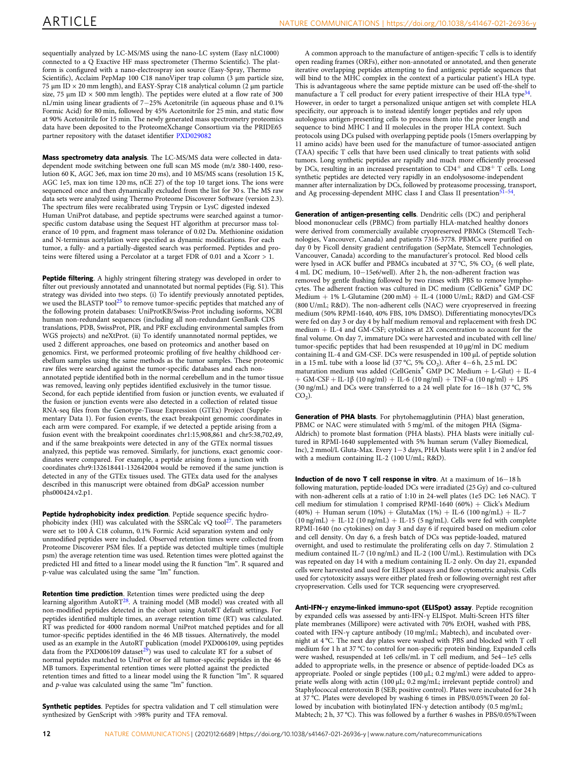sequentially analyzed by LC-MS/MS using the nano-LC system (Easy nLC1000) connected to a Q Exactive HF mass spectrometer (Thermo Scientific). The platform is configured with a nano-electrospray ion source (Easy-Spray, Thermo Scientific), Acclaim PepMap 100 C18 nanoViper trap column (3 μm particle size, 75 μm ID  $\times$  20 mm length), and EASY-Spray C18 analytical column (2 μm particle size, 75  $\mu$ m ID  $\times$  500 mm length). The peptides were eluted at a flow rate of 300 nL/min using linear gradients of 7−25% Acetonitrile (in aqueous phase and 0.1% Formic Acid) for 80 min, followed by 45% Acetonitrile for 25 min, and static flow at 90% Acetonitrile for 15 min. The newly generated mass spectrometry proteomics data have been deposited to the ProteomeXchange Consortium via the PRIDE65 partner repository with the dataset identifier [PXD029082](https://www.ebi.ac.uk/pride/archive/projects/PXD029082)

Mass spectrometry data analysis. The LC-MS/MS data were collected in datadependent mode switching between one full scan MS mode (m/z 380-1400, resolution 60 K, AGC 3e6, max ion time 20 ms), and 10 MS/MS scans (resolution 15 K, AGC 1e5, max ion time 120 ms, nCE 27) of the top 10 target ions. The ions were sequenced once and then dynamically excluded from the list for 30 s. The MS raw data sets were analyzed using Thermo Proteome Discoverer Software (version 2.3). The spectrum files were recalibrated using Trypsin or LysC digested indexed Human UniProt database, and peptide spectrums were searched against a tumorspecific custom database using the Sequest HT algorithm at precursor mass tolerance of 10 ppm, and fragment mass tolerance of 0.02 Da. Methionine oxidation and N-terminus acetylation were specified as dynamic modifications. For each tumor, a fully- and a partially-digested search was performed. Peptides and proteins were filtered using a Percolator at a target FDR of 0.01 and a Xcorr > 1.

Peptide filtering. A highly stringent filtering strategy was developed in order to filter out previously annotated and unannotated but normal peptides (Fig. S1). This strategy was divided into two steps. (i) To identify previously annotated peptides, we used the BLASTP tool<sup>[25](#page-13-0)</sup> to remove tumor-specific peptides that matched any of the following protein databases: UniProtKB/Swiss-Prot including isoforms, NCBI human non-redundant sequences (including all non-redundant GenBank CDS translations, PDB, SwissProt, PIR, and PRF excluding environmental samples from WGS projects) and neXtProt. (ii) To identify unannotated normal peptides, we used 2 different approaches, one based on proteomics and another based on genomics. First, we performed proteomic profiling of five healthy childhood cerebellum samples using the same methods as the tumor samples. These proteomic raw files were searched against the tumor-specific databases and each nonannotated peptide identified both in the normal cerebellum and in the tumor tissue was removed, leaving only peptides identified exclusively in the tumor tissue. Second, for each peptide identified from fusion or junction events, we evaluated if the fusion or junction events were also detected in a collection of related tissue RNA-seq files from the Genotype-Tissue Expression (GTEx) Project (Supplementary Data 1). For fusion events, the exact breakpoint genomic coordinates in each arm were compared. For example, if we detected a peptide arising from a fusion event with the breakpoint coordinates chr1:15,908,861 and chr5:38,702,49, and if the same breakpoints were detected in any of the GTEx normal tissues analyzed, this peptide was removed. Similarly, for junctions, exact genomic coordinates were compared. For example, a peptide arising from a junction with coordinates chr9:132618441-132642004 would be removed if the same junction is detected in any of the GTEx tissues used. The GTEx data used for the analyses described in this manuscript were obtained from dbGaP accession number phs000424.v2.p1.

Peptide hydrophobicity index prediction. Peptide sequence specific hydrophobicity index (HI) was calculated with the SSRCalc  $vQ$  tool<sup>[27](#page-13-0)</sup>. The parameters were set to 100 Å C18 column, 0.1% Formic Acid separation system and only unmodified peptides were included. Observed retention times were collected from Proteome Discoverer PSM files. If a peptide was detected multiple times (multiple psm) the average retention time was used. Retention times were plotted against the predicted HI and fitted to a linear model using the R function "lm". R squared and p-value was calculated using the same "lm" function.

Retention time prediction. Retention times were predicted using the deep learning algorithm AutoRT<sup>[28](#page-13-0)</sup>. A training model (MB model) was created with all non-modified peptides detected in the cohort using AutoRT default settings. For peptides identified multiple times, an average retention time (RT) was calculated. RT was predicted for 4000 random normal UniProt matched peptides and for all tumor-specific peptides identified in the 46 MB tissues. Alternatively, the model used as an example in the AutoRT publication (model PXD006109, using peptides data from the PXD006109 dataset<sup>29</sup>) was used to calculate RT for a subset of normal peptides matched to UniProt or for all tumor-specific peptides in the 46 MB tumors. Experimental retention times were plotted against the predicted retention times and fitted to a linear model using the R function "lm". R squared and  $p$ -value was calculated using the same "lm" function.

Synthetic peptides. Peptides for spectra validation and T cell stimulation were synthesized by GenScript with >98% purity and TFA removal.

A common approach to the manufacture of antigen-specific T cells is to identify open reading frames (ORFs), either non-annotated or annotated, and then generate iterative overlapping peptides attempting to find antigenic peptide sequences that will bind to the MHC complex in the context of a particular patient's HLA type. This is advantageous where the same peptide mixture can be used off-the-shelf to manufacture a T cell product for every patient irrespective of their HLA type<sup>3</sup> However, in order to target a personalized unique antigen set with complete HLA specificity, our approach is to instead identify longer peptides and rely upon autologous antigen-presenting cells to process them into the proper length and sequence to bind MHC I and II molecules in the proper HLA context. Such protocols using DCs pulsed with overlapping peptide pools (15mers overlapping by 11 amino acids) have been used for the manufacture of tumor-associated antigen (TAA) specific T cells that have been used clinically to treat patients with solid tumors. Long synthetic peptides are rapidly and much more efficiently processed by DCs, resulting in an increased presentation to CD4<sup>+</sup> and CD8<sup>+</sup> T cells. Long synthetic peptides are detected very rapidly in an endolysosome-independent manner after internalization by DCs, followed by proteasome processing, transport, and Ag processing-dependent MHC class I and Class II presentation<sup>[51](#page-13-0)-[54](#page-14-0)</sup>.

Generation of antigen-presenting cells. Dendritic cells (DC) and peripheral blood mononuclear cells (PBMC) from partially HLA-matched healthy donors were derived from commercially available cryopreserved PBMCs (Stemcell Technologies, Vancouver, Canada) and patients 7316-3778. PBMCs were purified on day 0 by Ficoll density gradient centrifugation (SepMate, Stemcell Technologies, Vancouver, Canada) according to the manufacturer's protocol. Red blood cells were lysed in ACK buffer and PBMCs incubated at  $37^{\circ}$ C, 5% CO<sub>2</sub> (6 well plate, 4 mL DC medium, 10−15e6/well). After 2 h, the non-adherent fraction was removed by gentle flushing followed by two rinses with PBS to remove lymphocytes. The adherent fraction was cultured in DC medium (CellGenix<sup>®</sup> GMP DC Medium  $+ 1\%$  L-Glutamine (200 mM)  $+$  IL-4 (1000 U/mL; R&D) and GM-CSF (800 U/mL; R&D). The non-adherent cells (NAC) were cryopreserved in freezing medium (50% RPMI-1640, 40% FBS, 10% DMSO). Differentiating monocytes/DCs were fed on day 3 or day 4 by half medium removal and replacement with fresh DC medium + IL-4 and GM-CSF; cytokines at 2X concentration to account for the final volume. On day 7, immature DCs were harvested and incubated with cell line/ tumor-specific peptides that had been resuspended at 10 μg/ml in DC medium containing IL-4 and GM-CSF. DCs were resuspended in 100 μL of peptide solution in a 15 mL tube with a loose lid (37 °C, 5% CO2). After 4−6 h, 2.5 mL DC maturation medium was added (CellGenix® GMP DC Medium + L-Glut) + IL-4 + GM-CSF + IL-1β (10 ng/ml) + IL-6 (10 ng/ml) + TNF-α (10 ng/ml) + LPS (30 ng/mL) and DCs were transferred to a 24 well plate for 16−18 h (37 °C, 5%  $CO<sub>2</sub>$ ).

Generation of PHA blasts. For phytohemagglutinin (PHA) blast generation, PBMC or NAC were stimulated with 5 mg/mL of the mitogen PHA (Sigma-Aldrich) to promote blast formation (PHA blasts). PHA blasts were initially cultured in RPMI-1640 supplemented with 5% human serum (Valley Biomedical, Inc), 2 mmol/L Gluta-Max. Every 1−3 days, PHA blasts were split 1 in 2 and/or fed with a medium containing IL-2 (100 U/mL; R&D).

Induction of de novo T cell response in vitro. At a maximum of 16−18 h following maturation, peptide-loaded DCs were irradiated (25 Gy) and co-cultured with non-adherent cells at a ratio of 1:10 in 24-well plates (1e5 DC: 1e6 NAC). T cell medium for stimulation 1 comprised RPMI-1640 (60%) + Click's Medium  $(40%)$  + Human serum  $(10%)$  + GlutaMax  $(1%)$  + IL-6  $(100 \text{ ng/mL})$  + IL-7  $(10 \text{ ng/mL}) + IL-12 (10 \text{ ng/mL}) + IL-15 (5 \text{ ng/mL})$ . Cells were fed with complete RPMI-1640 (no cytokines) on day 3 and day 6 if required based on medium color and cell density. On day 6, a fresh batch of DCs was peptide-loaded, matured overnight, and used to restimulate the proliferating cells on day 7. Stimulation 2 medium contained IL-7 (10 ng/mL) and IL-2 (100 U/mL). Restimulation with DCs was repeated on day 14 with a medium containing IL-2 only. On day 21, expanded cells were harvested and used for ELISpot assays and flow cytometric analysis. Cells used for cytotoxicity assays were either plated fresh or following overnight rest after cryopreservation. Cells used for TCR sequencing were cryopreserved.

Anti-IFN-γ enzyme-linked immuno-spot (ELISpot) assay. Peptide recognition by expanded cells was assessed by anti-IFN-γ ELISpot. Multi-Screen HTS filter plate membranes (Millipore) were activated with 70% EtOH, washed with PBS, coated with IFN-γ capture antibody (10 mg/mL; Mabtech), and incubated overnight at 4 °C. The next day plates were washed with PBS and blocked with T cell medium for 1 h at 37 °C to control for non-specific protein binding. Expanded cells were washed, resuspended at 1e6 cells/mL in T cell medium, and 5e4−1e5 cells added to appropriate wells, in the presence or absence of peptide-loaded DCs as appropriate. Pooled or single peptides (100 μL; 0.2 mg/mL) were added to appropriate wells along with actin (100 μL; 0.2 mg/mL; irrelevant peptide control) and Staphylococcal enterotoxin B (SEB; positive control). Plates were incubated for 24 h at 37 °C. Plates were developed by washing 6 times in PBS/0.05%Tween 20 followed by incubation with biotinylated IFN-γ detection antibody (0.5 mg/mL; Mabtech; 2 h, 37 °C). This was followed by a further 6 washes in PBS/0.05%Tween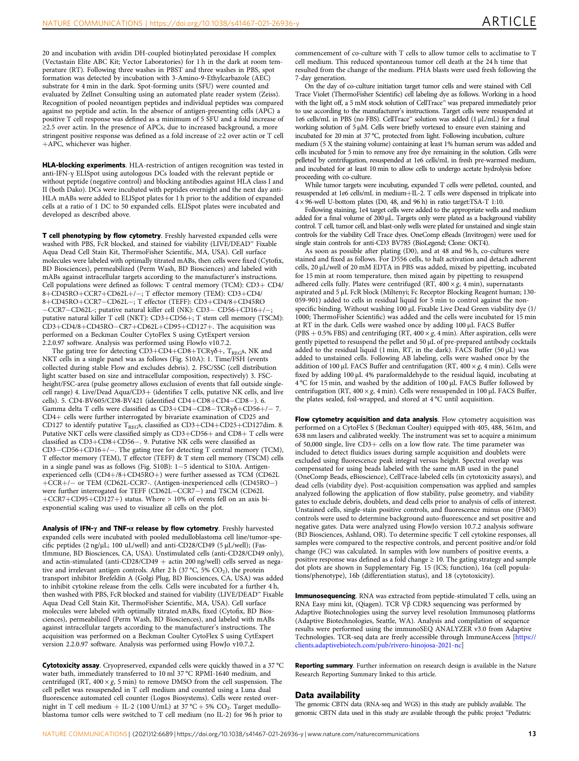20 and incubation with avidin DH-coupled biotinylated peroxidase H complex (Vectastain Elite ABC Kit; Vector Laboratories) for 1 h in the dark at room temperature (RT). Following three washes in PBST and three washes in PBS, spot formation was detected by incubation with 3-Amino-9-Ethylcarbazole (AEC) substrate for 4 min in the dark. Spot-forming units (SFU) were counted and evaluated by Zellnet Consulting using an automated plate reader system (Zeiss). Recognition of pooled neoantigen peptides and individual peptides was compared against no peptide and actin. In the absence of antigen-presenting cells (APC) a positive T cell response was defined as a minimum of 5 SFU and a fold increase of  $\geq$ 2.5 over actin. In the presence of APCs, due to increased background, a more stringent positive response was defined as a fold increase of ≥2 over actin or T cell +APC, whichever was higher.

HLA-blocking experiments. HLA-restriction of antigen recognition was tested in anti-IFN-γ ELISpot using autologous DCs loaded with the relevant peptide or without peptide (negative control) and blocking antibodies against HLA class I and II (both Dako). DCs were incubated with peptides overnight and the next day anti-HLA mABs were added to ELISpot plates for 1 h prior to the addition of expanded cells at a ratio of 1 DC to 50 expanded cells. ELISpot plates were incubated and developed as described above.

T cell phenotyping by flow cytometry. Freshly harvested expanded cells were washed with PBS, FcR blocked, and stained for viability (LIVE/DEAD™ Fixable Aqua Dead Cell Stain Kit, ThermoFisher Scientific, MA, USA). Cell surface molecules were labeled with optimally titrated mABs, then cells were fixed (Cytofix, BD Biosciences), permeabilized (Perm Wash, BD Biosciences) and labeled with mABs against intracellular targets according to the manufacturer's instructions. Cell populations were defined as follows: T central memory (TCM): CD3+ CD4/ 8+CD45RO+CCR7+CD62L+/−; T effector memory (TEM): CD3+CD4/ 8+CD45RO+CCR7−CD62L−; T effector (TEFF): CD3+CD4/8+CD45RO −CCR7−CD62L-; putative natural killer cell (NK): CD3− CD56+CD16+/−; putative natural killer T cell (NKT): CD3+CD56+; T stem cell memory (TSCM): CD3+CD4/8+CD45RO−CR7+CD62L+CD95+CD127+. The acquisition was performed on a Beckman Coulter CytoFlex S using CytExpert version 2.2.0.97 software. Analysis was performed using FlowJo v10.7.2.

The gating tree for detecting  $CD3+CD4+CD8+TCR\gamma\delta +$ , T<sub>REG</sub>s, NK and NKT cells in a single panel was as follows (Fig. S10A): 1. Time/FSH (events collected during stable Flow and excludes debris). 2. FSC/SSC (cell distribution light scatter based on size and intracellular composition, respectively) 3. FSCheight/FSC-area (pulse geometry allows exclusion of events that fall outside singlecell range) 4. Live/Dead Aqua/CD3+ (identifies T cells, putative NK cells, and live cells). 5. CD4-BV605/CD8-BV421 (identified CD4+CD8+CD4−CD8−). 6. Gamma delta T cells were classified as CD3+CD4−CD8−TCRγδ+CD56+/− 7. CD4+ cells were further interrogated by bivariate examination of CD25 and CD127 to identify putative  $T_{REGS}$ , classified as  $CD3+CD4+CD25+CD127$ dim. 8. Putative NKT cells were classified simply as CD3+CD56+ and CD8+ T cells were classified as CD3+CD8+CD56−. 9. Putative NK cells were classified as CD3−CD56+CD16+/−. The gating tree for detecting T central memory (TCM), T effector memory (TEM), T effector (TEFF) & T stem cell memory (TSCM) cells in a single panel was as follows (Fig. S10B): 1−5 identical to S10A. Antigenexperienced cells (CD4+/8+CD45RO+) were further assessed as TCM (CD62L +CCR+/− or TEM (CD62L-CCR7-. (Antigen-inexperienced cells (CD45RO−) were further interrogated for TEFF (CD62L−CCR7−) and TSCM (CD62L +CCR7+CD95+CD127+) status. Where > 10% of events fell on an axis biexponential scaling was used to visualize all cells on the plot.

Analysis of IFN- $\gamma$  and TNF- $\alpha$  release by flow cytometry. Freshly harvested expanded cells were incubated with pooled medulloblastoma cell line/tumor-specific peptides (2 ng/μL; 100 uL/well) and anti-CD28/CD49 (5 μL/well); (FastImmune, BD Biosciences, CA, USA). Unstimulated cells (anti-CD28/CD49 only), and actin-stimulated (anti-CD28/CD49 + actin 200 ng/well) cells served as negative and irrelevant antigen controls. After 2 h (37 °C, 5%  $CO<sub>2</sub>$ ), the protein transport inhibitor Brefeldin A (Golgi Plug, BD Biosciences, CA, USA) was added to inhibit cytokine release from the cells. Cells were incubated for a further 4 h, then washed with PBS, FcR blocked and stained for viability (LIVE/DEAD™ Fixable Aqua Dead Cell Stain Kit, ThermoFisher Scientific, MA, USA). Cell surface molecules were labeled with optimally titrated mABs, fixed (Cytofix, BD Biosciences), permeabilized (Perm Wash, BD Biosciences), and labeled with mABs against intracellular targets according to the manufacturer's instructions. The acquisition was performed on a Beckman Coulter CytoFlex S using CytExpert version 2.2.0.97 software. Analysis was performed using FlowJo v10.7.2.

Cytotoxicity assay. Cryopreserved, expanded cells were quickly thawed in a 37 °C water bath, immediately transferred to 10 ml 37 °C RPMI-1640 medium, and centrifuged (RT,  $400 \times g$ , 5 min) to remove DMSO from the cell suspension. The cell pellet was resuspended in T cell medium and counted using a Luna dual fluorescence automated cell counter (Logos Biosystems). Cells were rested overnight in T cell medium + IL-2 (100 U/mL) at 37 °C + 5% CO<sub>2</sub>. Target medulloblastoma tumor cells were switched to T cell medium (no IL-2) for 96 h prior to

commencement of co-culture with T cells to allow tumor cells to acclimatise to T cell medium. This reduced spontaneous tumor cell death at the 24 h time that resulted from the change of the medium. PHA blasts were used fresh following the 7-day generation.

On the day of co-culture initiation target tumor cells and were stained with Cell Trace Violet (ThermoFisher Scientific) cell labeling dye as follows. Working in a hood with the light off, a 5 mM stock solution of CellTrace™ was prepared immediately prior to use according to the manufacturer's instructions. Target cells were resuspended at 1e6 cells/mL in PBS (no FBS). CellTrace™ solution was added (1 µL/mL) for a final working solution of 5 µM. Cells were briefly vortexed to ensure even staining and incubated for 20 min at 37 °C, protected from light. Following incubation, culture medium (5 X the staining volume) containing at least 1% human serum was added and cells incubated for 5 min to remove any free dye remaining in the solution. Cells were pelleted by centrifugation, resuspended at 1e6 cells/mL in fresh pre-warmed medium, and incubated for at least 10 min to allow cells to undergo acetate hydrolysis before proceeding with co-culture.

While tumor targets were incubating, expanded T cells were pelleted, counted, and resuspended at 1e6 cells/mL in medium+IL-2. T cells were dispensed in triplicate into 4 × 96-well U-bottom plates (D0, 48, and 96 h) in ratio target:TSA-T 1:10.

Following staining, 1e4 target cells were added to the appropriate wells and medium added for a final volume of 200 µL. Targets only were plated as a background viability control. T cell, tumor cell, and blast-only wells were plated for unstained and single stain controls for the viability Cell Trace dyes. OneComp eBeads (Invitrogen) were used for single stain controls for anti-CD3 BV785 (BioLegend; Clone: OKT4).

As soon as possible after plating (D0), and at 48 and 96 h, co-cultures were stained and fixed as follows. For D556 cells, to halt activation and detach adherent cells, 20 μL/well of 20 mM EDTA in PBS was added, mixed by pipetting, incubated for 15 min at room temperature, then mixed again by pipetting to resuspend adhered cells fully. Plates were centrifuged (RT,  $400 \times g$ , 4 min), supernatants aspirated and 5 µL FcR block (Miltenyi; Fc Receptor Blocking Reagent human; 130- 059-901) added to cells in residual liquid for 5 min to control against the nonspecific binding. Without washing 100 µL Fixable Live Dead Green viability dye (1/ 1000; ThermoFisher Scientific) was added and the cells were incubated for 15 min at RT in the dark. Cells were washed once by adding 100 µL FACS Buffer (PBS + 0.5% FBS) and centrifuging (RT,  $400 \times g$ , 4 min). After aspiration, cells were gently pipetted to resuspend the pellet and 50 µL of pre-prepared antibody cocktails added to the residual liquid (1 min, RT, in the dark). FACS Buffer (50  $\mu$ L) was added to unstained cells. Following AB labeling, cells were washed once by the addition of 100 µL FACS Buffer and centrifugation (RT,  $400 \times g$ , 4 min). Cells were fixed by adding 100 µL 4% paraformaldehyde to the residual liquid, incubating at 4 °C for 15 min, and washed by the addition of 100 µL FACS Buffer followed by centrifugation (RT,  $400 \times g$ , 4 min). Cells were resuspended in 100 µL FACS Buffer, the plates sealed, foil-wrapped, and stored at 4 °C until acquisition.

Flow cytometry acquisition and data analysis. Flow cytometry acquisition was performed on a CytoFlex S (Beckman Coulter) equipped with 405, 488, 561m, and 638 nm lasers and calibrated weekly. The instrument was set to acquire a minimum of 50,000 single, live CD3+ cells on a low flow rate. The time parameter was included to detect fluidics issues during sample acquisition and doublets were excluded using fluorescence peak integral versus height. Spectral overlap was compensated for using beads labeled with the same mAB used in the panel (OneComp Beads, eBioscience), CellTrace-labeled cells (in cytotoxicity assays), and dead cells (viability dye). Post-acquisition compensation was applied and samples analyzed following the application of flow stability, pulse geometry, and viability gates to exclude debris, doublets, and dead cells prior to analysis of cells of interest. Unstained cells, single-stain positive controls, and fluorescence minus one (FMO) controls were used to determine background auto-fluorescence and set positive and negative gates. Data were analyzed using FlowJo version 10.7.2 analysis software (BD Biosciences, Ashland, OR). To determine specific T cell cytokine responses, all samples were compared to the respective controls, and percent positive and/or fold change (FC) was calculated. In samples with low numbers of positive events, a positive response was defined as a fold change ≥ 10. The gating strategy and sample dot plots are shown in Supplementary Fig. 15 (ICS; function), 16a (cell populations/phenotype), 16b (differentiation status), and 18 (cytotoxicity).

Immunosequencing. RNA was extracted from peptide-stimulated T cells, using an RNA Easy mini kit, (Qiagen). TCR Vβ CDR3 sequencing was performed by Adaptive Biotechnologies using the survey level resolution Immunoseq platforms (Adaptive Biotechnologies, Seattle, WA). Analysis and compilation of sequence results were performed using the immunoSEQ ANALYZER v3.0 from Adaptive Technologies. TCR-seq data are freely accessible through ImmuneAccess [\[https://](https://clients.adaptivebiotech.com/pub/rivero-hinojosa-2021-nc) [clients.adaptivebiotech.com/pub/rivero-hinojosa-2021-nc\]](https://clients.adaptivebiotech.com/pub/rivero-hinojosa-2021-nc)

Reporting summary. Further information on research design is available in the Nature Research Reporting Summary linked to this article.

### Data availability

The genomic CBTN data (RNA-seq and WGS) in this study are publicly available. The genomic CBTN data used in this study are available through the public project "Pediatric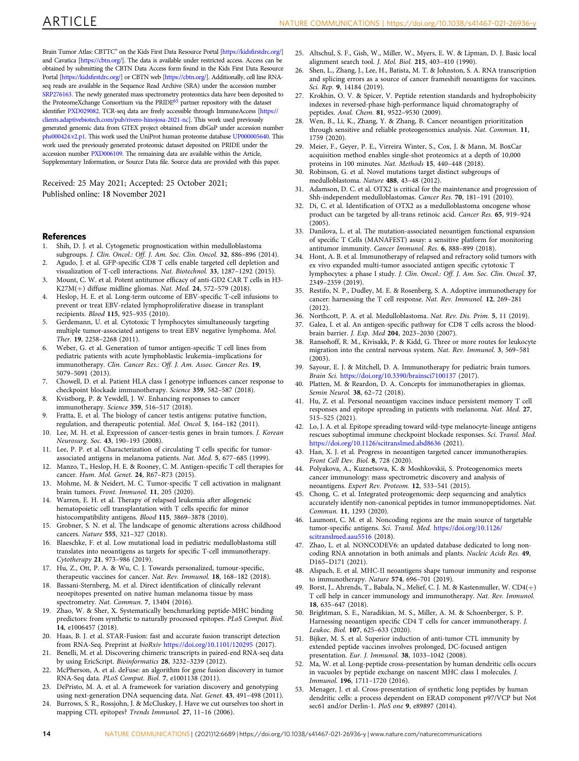<span id="page-13-0"></span>Brain Tumor Atlas: CBTTC" on the Kids First Data Resource Portal [\[https://kids](https://kidsfirstdrc.org/)firstdrc.org/] and Cavatica [<https://cbtn.org/>]. The data is available under restricted access. Access can be obtained by submitting the CBTN Data Access form found in the Kids First Data Resource Portal [\[https://kids](https://kidsfirstdrc.org/)firstdrc.org/] or CBTN web [<https://cbtn.org/>]. Additionally, cell line RNAseq reads are available in the Sequence Read Archive (SRA) under the accession number [SRP276163.](https://trace.ncbi.nlm.nih.gov/Traces/sra/?study=SRP276163) The newly generated mass spectrometry proteomics data have been deposited to the ProteomeXchange Consortium via the PRIDE<sup>65</sup> partner repository with the dataset identifier [PXD029082.](https://www.ebi.ac.uk/pride/archive/projects/PXD029082) TCR-seq data are freely accessible through ImmuneAccess [[https://](https://clients.adaptivebiotech.com/pub/rivero-hinojosa-2021-nc) [clients.adaptivebiotech.com/pub/rivero-hinojosa-2021-nc\]](https://clients.adaptivebiotech.com/pub/rivero-hinojosa-2021-nc). This work used previously generated genomic data from GTEX project obtained from dbGaP under accession number [phs000424.v2.p1.](https://www.ncbi.nlm.nih.gov/projects/gap/cgi-bin/study.cgi?study_id=phs000424.v2.p1) This work used the UniProt human proteome database [UP000005640.](https://www.uniprot.org/proteomes/UP000005640) This work used the previously generated proteomic dataset deposited on PRIDE under the accession number [PXD006109.](https://www.ebi.ac.uk/pride/archive/projects/PXD006109) The remaining data are available within the Article, Supplementary Information, or Source Data file. Source data are provided with this paper.

Received: 25 May 2021; Accepted: 25 October 2021; Published online: 18 November 2021

### **References**

- 1. Shih, D. J. et al. Cytogenetic prognostication within medulloblastoma subgroups. J. Clin. Oncol.: Off. J. Am. Soc. Clin. Oncol. 32, 886–896 (2014).
- Agudo, J. et al. GFP-specific CD8 T cells enable targeted cell depletion and visualization of T-cell interactions. Nat. Biotechnol. 33, 1287–1292 (2015).
- 3. Mount, C. W. et al. Potent antitumor efficacy of anti-GD2 CAR T cells in H3- K27M(+) diffuse midline gliomas. Nat. Med. 24, 572–579 (2018).
- 4. Heslop, H. E. et al. Long-term outcome of EBV-specific T-cell infusions to prevent or treat EBV-related lymphoproliferative disease in transplant recipients. Blood 115, 925–935 (2010).
- 5. Gerdemann, U. et al. Cytotoxic T lymphocytes simultaneously targeting multiple tumor-associated antigens to treat EBV negative lymphoma. Mol. Ther. 19, 2258–2268 (2011).
- 6. Weber, G. et al. Generation of tumor antigen-specific T cell lines from pediatric patients with acute lymphoblastic leukemia–implications for immunotherapy. Clin. Cancer Res.: Off. J. Am. Assoc. Cancer Res. 19, 5079–5091 (2013).
- 7. Chowell, D. et al. Patient HLA class I genotype influences cancer response to checkpoint blockade immunotherapy. Science 359, 582–587 (2018).
- 8. Kvistborg, P. & Yewdell, J. W. Enhancing responses to cancer immunotherapy. Science 359, 516–517 (2018).
- 9. Fratta, E. et al. The biology of cancer testis antigens: putative function, regulation, and therapeutic potential. Mol. Oncol. 5, 164–182 (2011).
- 10. Lee, M. H. et al. Expression of cancer-testis genes in brain tumors. J. Korean Neurosurg. Soc. 43, 190–193 (2008).
- 11. Lee, P. P. et al. Characterization of circulating T cells specific for tumorassociated antigens in melanoma patients. Nat. Med. 5, 677–685 (1999).
- 12. Manzo, T., Heslop, H. E. & Rooney, C. M. Antigen-specific T cell therapies for cancer. Hum. Mol. Genet. 24, R67–R73 (2015).
- 13. Mohme, M. & Neidert, M. C. Tumor-specific T cell activation in malignant brain tumors. Front. Immunol. 11, 205 (2020).
- 14. Warren, E. H. et al. Therapy of relapsed leukemia after allogeneic hematopoietic cell transplantation with T cells specific for minor histocompatibility antigens. Blood 115, 3869–3878 (2010).
- 15. Grobner, S. N. et al. The landscape of genomic alterations across childhood cancers. Nature 555, 321–327 (2018).
- 16. Blaeschke, F. et al. Low mutational load in pediatric medulloblastoma still translates into neoantigens as targets for specific T-cell immunotherapy. Cytotherapy 21, 973–986 (2019).
- 17. Hu, Z., Ott, P. A. & Wu, C. J. Towards personalized, tumour-specific, therapeutic vaccines for cancer. Nat. Rev. Immunol. 18, 168–182 (2018).
- 18. Bassani-Sternberg, M. et al. Direct identification of clinically relevant neoepitopes presented on native human melanoma tissue by mass spectrometry. Nat. Commun. 7, 13404 (2016).
- 19. Zhao, W. & Sher, X. Systematically benchmarking peptide-MHC binding predictors: from synthetic to naturally processed epitopes. PLoS Comput. Biol. 14, e1006457 (2018).
- 20. Haas, B. J. et al. STAR-Fusion: fast and accurate fusion transcript detection from RNA-Seq. Preprint at bioRxiv <https://doi.org/10.1101/120295> (2017).
- Benelli, M. et al. Discovering chimeric transcripts in paired-end RNA-seq data by using EricScript. Bioinformatics 28, 3232–3239 (2012).
- 22. McPherson, A. et al. deFuse: an algorithm for gene fusion discovery in tumor RNA-Seq data. PLoS Comput. Biol. 7, e1001138 (2011).
- 23. DePristo, M. A. et al. A framework for variation discovery and genotyping using next-generation DNA sequencing data. Nat. Genet. 43, 491–498 (2011).
- 24. Burrows, S. R., Rossjohn, J. & McCluskey, J. Have we cut ourselves too short in mapping CTL epitopes? Trends Immunol. 27, 11–16 (2006).
- 25. Altschul, S. F., Gish, W., Miller, W., Myers, E. W. & Lipman, D. J. Basic local alignment search tool. J. Mol. Biol. 215, 403–410 (1990).
- 26. Shen, L., Zhang, J., Lee, H., Batista, M. T. & Johnston, S. A. RNA transcription and splicing errors as a source of cancer frameshift neoantigens for vaccines. Sci. Rep. 9, 14184 (2019).
- Krokhin, O. V. & Spicer, V. Peptide retention standards and hydrophobicity indexes in reversed-phase high-performance liquid chromatography of peptides. Anal. Chem. 81, 9522–9530 (2009).
- 28. Wen, B., Li, K., Zhang, Y. & Zhang, B. Cancer neoantigen prioritization through sensitive and reliable proteogenomics analysis. Nat. Commun. 11, 1759 (2020).
- 29. Meier, F., Geyer, P. E., Virreira Winter, S., Cox, J. & Mann, M. BoxCar acquisition method enables single-shot proteomics at a depth of 10,000 proteins in 100 minutes. Nat. Methods 15, 440-448 (2018).
- 30. Robinson, G. et al. Novel mutations target distinct subgroups of medulloblastoma. Nature 488, 43–48 (2012).
- 31. Adamson, D. C. et al. OTX2 is critical for the maintenance and progression of Shh-independent medulloblastomas. Cancer Res. 70, 181–191 (2010).
- 32. Di, C. et al. Identification of OTX2 as a medulloblastoma oncogene whose product can be targeted by all-trans retinoic acid. Cancer Res. 65, 919–924  $(2005)$ .
- 33. Danilova, L. et al. The mutation-associated neoantigen functional expansion of specific T Cells (MANAFEST) assay: a sensitive platform for monitoring antitumor immunity. Cancer Immunol. Res. 6, 888–899 (2018).
- 34. Hont, A. B. et al. Immunotherapy of relapsed and refractory solid tumors with ex vivo expanded multi-tumor associated antigen specific cytotoxic T lymphocytes: a phase I study. J. Clin. Oncol.: Off. J. Am. Soc. Clin. Oncol. 37, 2349–2359 (2019).
- 35. Restifo, N. P., Dudley, M. E. & Rosenberg, S. A. Adoptive immunotherapy for cancer: harnessing the T cell response. Nat. Rev. Immunol. 12, 269–281 (2012).
- 36. Northcott, P. A. et al. Medulloblastoma. Nat. Rev. Dis. Prim. 5, 11 (2019).
- 37. Galea, I. et al. An antigen-specific pathway for CD8 T cells across the bloodbrain barrier. J. Exp. Med 204, 2023–2030 (2007).
- 38. Ransohoff, R. M., Kivisakk, P. & Kidd, G. Three or more routes for leukocyte migration into the central nervous system. Nat. Rev. Immunol. 3, 569–581 (2003).
- 39. Sayour, E. J. & Mitchell, D. A. Immunotherapy for pediatric brain tumors. Brain Sci. <https://doi.org/10.3390/brainsci7100137> (2017).
- 40. Platten, M. & Reardon, D. A. Concepts for immunotherapies in gliomas. Semin Neurol. 38, 62–72 (2018).
- 41. Hu, Z. et al. Personal neoantigen vaccines induce persistent memory T cell responses and epitope spreading in patients with melanoma. Nat. Med. 27, 515–525 (2021).
- 42. Lo, J. A. et al. Epitope spreading toward wild-type melanocyte-lineage antigens rescues suboptimal immune checkpoint blockade responses. Sci. Transl. Med. <https://doi.org/10.1126/scitranslmed.abd8636> (2021).
- 43. Han, X. J. et al. Progress in neoantigen targeted cancer immunotherapies. Front Cell Dev. Biol. 8, 728 (2020).
- 44. Polyakova, A., Kuznetsova, K. & Moshkovskii, S. Proteogenomics meets cancer immunology: mass spectrometric discovery and analysis of neoantigens. Expert Rev. Proteom. 12, 533–541 (2015).
- Chong, C. et al. Integrated proteogenomic deep sequencing and analytics accurately identify non-canonical peptides in tumor immunopeptidomes. Nat. Commun. 11, 1293 (2020).
- 46. Laumont, C. M. et al. Noncoding regions are the main source of targetable tumor-specific antigens. Sci. Transl. Med. [https://doi.org/10.1126/](https://doi.org/10.1126/scitranslmed.aau5516) [scitranslmed.aau5516](https://doi.org/10.1126/scitranslmed.aau5516) (2018).
- 47. Zhao, L. et al. NONCODEV6: an updated database dedicated to long noncoding RNA annotation in both animals and plants. Nucleic Acids Res. 49, D165–D171 (2021).
- 48. Alspach, E. et al. MHC-II neoantigens shape tumour immunity and response to immunotherapy. Nature 574, 696–701 (2019).
- 49. Borst, J., Ahrends, T., Babala, N., Melief, C. J. M. & Kastenmuller, W. CD4(+) T cell help in cancer immunology and immunotherapy. Nat. Rev. Immunol. 18, 635–647 (2018).
- 50. Brightman, S. E., Naradikian, M. S., Miller, A. M. & Schoenberger, S. P. Harnessing neoantigen specific CD4 T cells for cancer immunotherapy. J. Leukoc. Biol. 107, 625–633 (2020).
- 51. Bijker, M. S. et al. Superior induction of anti-tumor CTL immunity by extended peptide vaccines involves prolonged, DC-focused antigen presentation. Eur. J. Immunol. 38, 1033–1042 (2008).
- 52. Ma, W. et al. Long-peptide cross-presentation by human dendritic cells occurs in vacuoles by peptide exchange on nascent MHC class I molecules. J. Immunol. 196, 1711–1720 (2016).
- 53. Menager, J. et al. Cross-presentation of synthetic long peptides by human dendritic cells: a process dependent on ERAD component p97/VCP but Not sec61 and/or Derlin-1. PloS one 9, e89897 (2014).